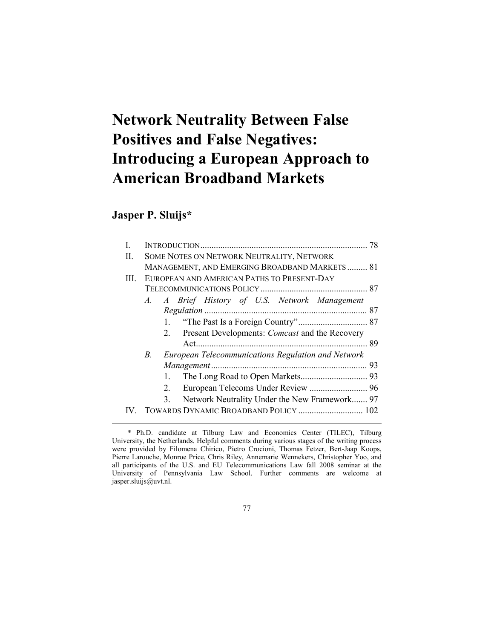# **Network Neutrality Between False Positives and False Negatives: Introducing a European Approach to American Broadband Markets**

# **Jasper P. Sluijs\***

|    |                                                             | 78                                                                                                                                                                                                                                         |
|----|-------------------------------------------------------------|--------------------------------------------------------------------------------------------------------------------------------------------------------------------------------------------------------------------------------------------|
|    |                                                             |                                                                                                                                                                                                                                            |
|    |                                                             |                                                                                                                                                                                                                                            |
|    |                                                             |                                                                                                                                                                                                                                            |
|    |                                                             |                                                                                                                                                                                                                                            |
|    |                                                             |                                                                                                                                                                                                                                            |
|    |                                                             |                                                                                                                                                                                                                                            |
|    |                                                             |                                                                                                                                                                                                                                            |
|    | Present Developments: <i>Comcast</i> and the Recovery<br>2. |                                                                                                                                                                                                                                            |
|    |                                                             |                                                                                                                                                                                                                                            |
| B. | European Telecommunications Regulation and Network          |                                                                                                                                                                                                                                            |
|    |                                                             |                                                                                                                                                                                                                                            |
|    |                                                             |                                                                                                                                                                                                                                            |
|    | 2.                                                          |                                                                                                                                                                                                                                            |
|    | 3.                                                          |                                                                                                                                                                                                                                            |
|    |                                                             |                                                                                                                                                                                                                                            |
|    |                                                             | SOME NOTES ON NETWORK NEUTRALITY, NETWORK<br>MANAGEMENT, AND EMERGING BROADBAND MARKETS 81<br>EUROPEAN AND AMERICAN PATHS TO PRESENT-DAY<br>A. A Brief History of U.S. Network Management<br>Network Neutrality Under the New Framework 97 |

 <sup>\*</sup> Ph.D. candidate at Tilburg Law and Economics Center (TILEC), Tilburg University, the Netherlands. Helpful comments during various stages of the writing process were provided by Filomena Chirico, Pietro Crocioni, Thomas Fetzer, Bert-Jaap Koops, Pierre Larouche, Monroe Price, Chris Riley, Annemarie Wennekers, Christopher Yoo, and all participants of the U.S. and EU Telecommunications Law fall 2008 seminar at the University of Pennsylvania Law School. Further comments are welcome at jasper.sluijs@uvt.nl.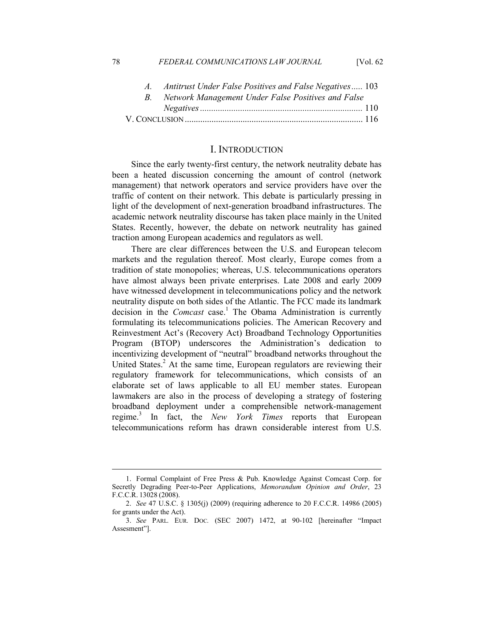#### 78 *FEDERAL COMMUNICATIONS LAW JOURNAL* [Vol. 62

| $A_{-}$ | Antitrust Under False Positives and False Negatives 103 |  |
|---------|---------------------------------------------------------|--|
|         | Network Management Under False Positives and False      |  |
|         |                                                         |  |
|         |                                                         |  |

#### I. INTRODUCTION

Since the early twenty-first century, the network neutrality debate has been a heated discussion concerning the amount of control (network management) that network operators and service providers have over the traffic of content on their network. This debate is particularly pressing in light of the development of next-generation broadband infrastructures. The academic network neutrality discourse has taken place mainly in the United States. Recently, however, the debate on network neutrality has gained traction among European academics and regulators as well.

There are clear differences between the U.S. and European telecom markets and the regulation thereof. Most clearly, Europe comes from a tradition of state monopolies; whereas, U.S. telecommunications operators have almost always been private enterprises. Late 2008 and early 2009 have witnessed development in telecommunications policy and the network neutrality dispute on both sides of the Atlantic. The FCC made its landmark decision in the *Comcast* case.<sup>1</sup> The Obama Administration is currently formulating its telecommunications policies. The American Recovery and Reinvestment Act's (Recovery Act) Broadband Technology Opportunities Program (BTOP) underscores the Administration's dedication to incentivizing development of "neutral" broadband networks throughout the United States.<sup>2</sup> At the same time, European regulators are reviewing their regulatory framework for telecommunications, which consists of an elaborate set of laws applicable to all EU member states. European lawmakers are also in the process of developing a strategy of fostering broadband deployment under a comprehensible network-management regime.<sup>3</sup> In fact, the *New York Times* reports that European telecommunications reform has drawn considerable interest from U.S.

 <sup>1.</sup> Formal Complaint of Free Press & Pub. Knowledge Against Comcast Corp. for Secretly Degrading Peer-to-Peer Applications, *Memorandum Opinion and Order*, 23 F.C.C.R. 13028 (2008).

 <sup>2.</sup> *See* 47 U.S.C. § 1305(j) (2009) (requiring adherence to 20 F.C.C.R. 14986 (2005) for grants under the Act).

 <sup>3.</sup> *See* PARL*.* EUR*.* DOC*.* (SEC 2007) 1472, at 90-102 [hereinafter "Impact Assesment"].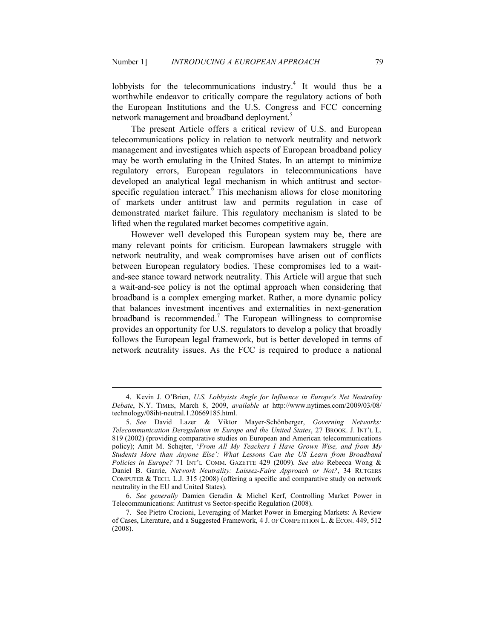lobbyists for the telecommunications industry. $4$  It would thus be a worthwhile endeavor to critically compare the regulatory actions of both the European Institutions and the U.S. Congress and FCC concerning network management and broadband deployment.<sup>5</sup>

The present Article offers a critical review of U.S. and European telecommunications policy in relation to network neutrality and network management and investigates which aspects of European broadband policy may be worth emulating in the United States. In an attempt to minimize regulatory errors, European regulators in telecommunications have developed an analytical legal mechanism in which antitrust and sectorspecific regulation interact.<sup>6</sup> This mechanism allows for close monitoring of markets under antitrust law and permits regulation in case of demonstrated market failure. This regulatory mechanism is slated to be lifted when the regulated market becomes competitive again.

However well developed this European system may be, there are many relevant points for criticism. European lawmakers struggle with network neutrality, and weak compromises have arisen out of conflicts between European regulatory bodies. These compromises led to a waitand-see stance toward network neutrality. This Article will argue that such a wait-and-see policy is not the optimal approach when considering that broadband is a complex emerging market. Rather, a more dynamic policy that balances investment incentives and externalities in next-generation broadband is recommended.<sup>7</sup> The European willingness to compromise provides an opportunity for U.S. regulators to develop a policy that broadly follows the European legal framework, but is better developed in terms of network neutrality issues. As the FCC is required to produce a national

<sup>4.</sup> Kevin J. O'Brien, *U.S. Lobbyists Angle for Influence in Europe's Net Neutrality Debate*, N.Y. TIMES, March 8, 2009, *available at* http://www.nytimes.com/2009/03/08/ technology/08iht-neutral.1.20669185.html.

<sup>5.</sup> See David Lazer & Viktor Mayer-Schönberger, Governing Networks: *Telecommunication Deregulation in Europe and the United States*, 27 BROOK. J. INT'L L. 819 (2002) (providing comparative studies on European and American telecommunications policy); Amit M. Schejter, '*From All My Teachers I Have Grown Wise, and from My Students More than Anyone Else': What Lessons Can the US Learn from Broadband Policies in Europe?* 71 INT'L COMM. GAZETTE 429 (2009). *See also* Rebecca Wong & Daniel B. Garrie, *Network Neutrality: Laissez-Faire Approach or Not?*, 34 RUTGERS COMPUTER & TECH. L.J. 315 (2008) (offering a specific and comparative study on network neutrality in the EU and United States).

 <sup>6.</sup> *See generally* Damien Geradin & Michel Kerf, Controlling Market Power in Telecommunications: Antitrust vs Sector-specific Regulation (2008).

 <sup>7.</sup> See Pietro Crocioni, Leveraging of Market Power in Emerging Markets: A Review of Cases, Literature, and a Suggested Framework, 4 J. OF COMPETITION L. & ECON. 449, 512 (2008).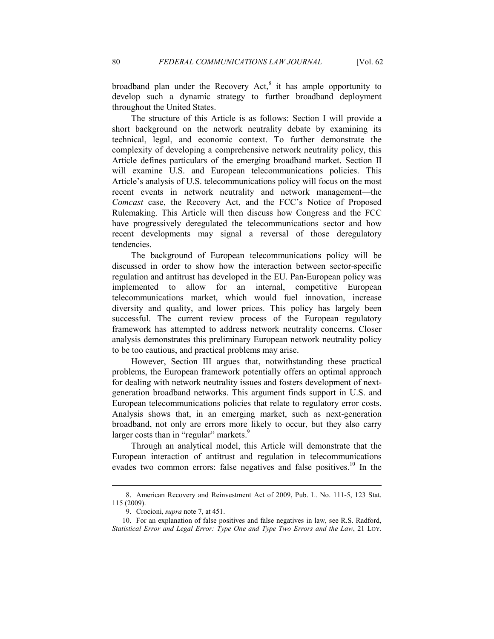broadband plan under the Recovery Act, $8$  it has ample opportunity to develop such a dynamic strategy to further broadband deployment throughout the United States.

The structure of this Article is as follows: Section I will provide a short background on the network neutrality debate by examining its technical, legal, and economic context. To further demonstrate the complexity of developing a comprehensive network neutrality policy, this Article defines particulars of the emerging broadband market. Section II will examine U.S. and European telecommunications policies. This Article's analysis of U.S. telecommunications policy will focus on the most recent events in network neutrality and network management—the *Comcast* case, the Recovery Act, and the FCC's Notice of Proposed Rulemaking. This Article will then discuss how Congress and the FCC have progressively deregulated the telecommunications sector and how recent developments may signal a reversal of those deregulatory tendencies.

The background of European telecommunications policy will be discussed in order to show how the interaction between sector-specific regulation and antitrust has developed in the EU. Pan-European policy was implemented to allow for an internal, competitive European telecommunications market, which would fuel innovation, increase diversity and quality, and lower prices. This policy has largely been successful. The current review process of the European regulatory framework has attempted to address network neutrality concerns. Closer analysis demonstrates this preliminary European network neutrality policy to be too cautious, and practical problems may arise.

However, Section III argues that, notwithstanding these practical problems, the European framework potentially offers an optimal approach for dealing with network neutrality issues and fosters development of nextgeneration broadband networks. This argument finds support in U.S. and European telecommunications policies that relate to regulatory error costs. Analysis shows that, in an emerging market, such as next-generation broadband, not only are errors more likely to occur, but they also carry larger costs than in "regular" markets.<sup>9</sup>

Through an analytical model, this Article will demonstrate that the European interaction of antitrust and regulation in telecommunications evades two common errors: false negatives and false positives.<sup>10</sup> In the

 <sup>8.</sup> American Recovery and Reinvestment Act of 2009, Pub. L. No. 111-5, 123 Stat. 115 (2009).

 <sup>9.</sup> Crocioni, *supra* note 7, at 451.

 <sup>10.</sup> For an explanation of false positives and false negatives in law, see R.S. Radford, *Statistical Error and Legal Error: Type One and Type Two Errors and the Law*, 21 LOY.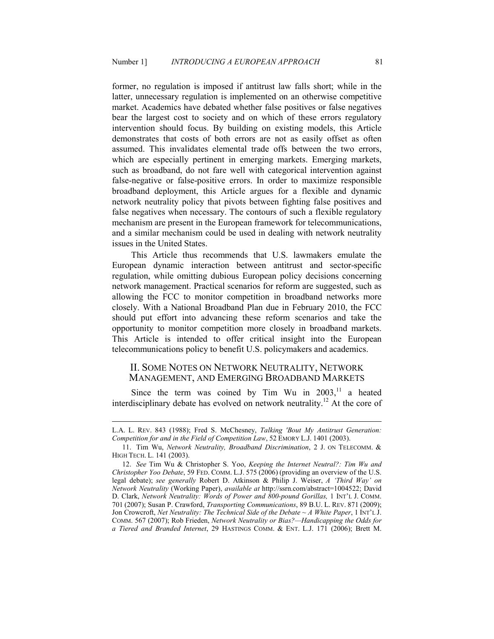former, no regulation is imposed if antitrust law falls short; while in the latter, unnecessary regulation is implemented on an otherwise competitive market. Academics have debated whether false positives or false negatives bear the largest cost to society and on which of these errors regulatory intervention should focus. By building on existing models, this Article demonstrates that costs of both errors are not as easily offset as often assumed. This invalidates elemental trade offs between the two errors, which are especially pertinent in emerging markets. Emerging markets, such as broadband, do not fare well with categorical intervention against false-negative or false-positive errors. In order to maximize responsible broadband deployment, this Article argues for a flexible and dynamic network neutrality policy that pivots between fighting false positives and false negatives when necessary. The contours of such a flexible regulatory mechanism are present in the European framework for telecommunications, and a similar mechanism could be used in dealing with network neutrality issues in the United States.

This Article thus recommends that U.S. lawmakers emulate the European dynamic interaction between antitrust and sector-specific regulation, while omitting dubious European policy decisions concerning network management. Practical scenarios for reform are suggested, such as allowing the FCC to monitor competition in broadband networks more closely. With a National Broadband Plan due in February 2010, the FCC should put effort into advancing these reform scenarios and take the opportunity to monitor competition more closely in broadband markets. This Article is intended to offer critical insight into the European telecommunications policy to benefit U.S. policymakers and academics.

# II. SOME NOTES ON NETWORK NEUTRALITY, NETWORK MANAGEMENT, AND EMERGING BROADBAND MARKETS

Since the term was coined by Tim Wu in  $2003$ ,<sup>11</sup>, a heated interdisciplinary debate has evolved on network neutrality.<sup>12</sup> At the core of

L.A. L. REV. 843 (1988); Fred S. McChesney, *Talking 'Bout My Antitrust Generation: Competition for and in the Field of Competition Law*, 52 EMORY L.J. 1401 (2003).

<sup>11.</sup> Tim Wu, *Network Neutrality, Broadband Discrimination*, 2 J. ON TELECOMM. & HIGH TECH. L. 141 (2003).

<sup>12.</sup> *See* Tim Wu & Christopher S. Yoo, *Keeping the Internet Neutral?: Tim Wu and Christopher Yoo Debate*, 59 FED. COMM. L.J. 575 (2006) (providing an overview of the U.S. legal debate); *see generally* Robert D. Atkinson & Philip J. Weiser, *A 'Third Way' on etwork eutrality* (Working Paper), *available at* http://ssrn.com/abstract=1004522; David D. Clark, *Network Neutrality: Words of Power and 800-pound Gorillas*, 1 INT'L J. COMM. 701 (2007); Susan P. Crawford, *Transporting Communications*, 89 B.U. L. REV. 871 (2009); Jon Crowcroft, *Net Neutrality: The Technical Side of the Debate*  $\sim A$  White Paper, 1 INT'L J. COMM. 567 (2007); Rob Frieden, *Network Neutrality or Bias?—Handicapping the Odds for a Tiered and Branded Internet*, 29 HASTINGS COMM. & ENT. L.J. 171 (2006); Brett M.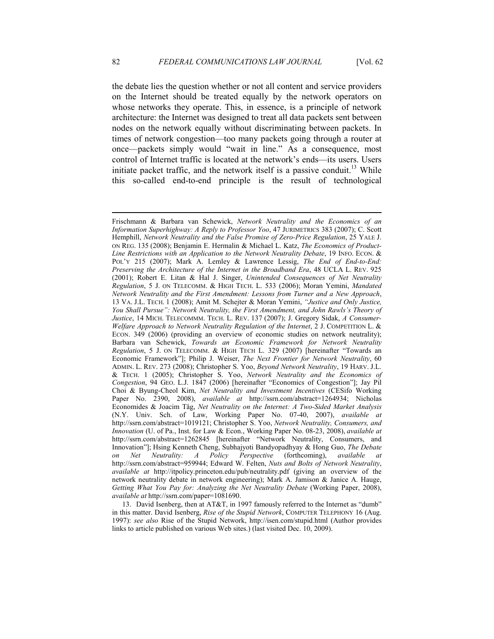the debate lies the question whether or not all content and service providers on the Internet should be treated equally by the network operators on whose networks they operate. This, in essence, is a principle of network architecture: the Internet was designed to treat all data packets sent between nodes on the network equally without discriminating between packets. In times of network congestion—too many packets going through a router at once—packets simply would "wait in line." As a consequence, most control of Internet traffic is located at the network's ends—its users. Users initiate packet traffic, and the network itself is a passive conduit.<sup>13</sup> While this so-called end-to-end principle is the result of technological

Frischmann & Barbara van Schewick, Network Neutrality and the Economics of an *Information Superhighway: A Reply to Professor Yoo*, 47 JURIMETRICS 383 (2007); C. Scott Hemphill, *Network Neutrality and the False Promise of Zero-Price Regulation*, 25 YALE J. ON REG. 135 (2008); Benjamin E. Hermalin & Michael L. Katz, *The Economics of Product-*Line Restrictions with an Application to the Network Neutrality Debate, 19 INFO. ECON. & POL'Y 215 (2007); Mark A. Lemley & Lawrence Lessig, *The End of End-to-End: Preserving the Architecture of the Internet in the Broadband Era*, 48 UCLA L. REV. 925 (2001); Robert E. Litan & Hal J. Singer, *Unintended Consequences of Net Neutrality Regulation*, 5 J. ON TELECOMM. & HIGH TECH. L. 533 (2006); Moran Yemini, *Mandated Network Neutrality and the First Amendment: Lessons from Turner and a New Approach,* 13 VA. J.L. TECH. 1 (2008); Amit M. Schejter & Moran Yemini, *"Justice and Only Justice, You Shall Pursue": Network Neutrality, the First Amendment, and John Rawls's Theory of Justice*, 14 MICH. TELECOMMM. TECH. L. REV. 137 (2007); J. Gregory Sidak, *A Consumer-Welfare Approach to Network Neutrality Regulation of the Internet*, 2 J. COMPETITION L. & ECON. 349 (2006) (providing an overview of economic studies on network neutrality); Barbara van Schewick, Towards an Economic Framework for Network Neutrality *Regulation*, 5 J. ON TELECOMM. & HIGH TECH L. 329 (2007) [hereinafter "Towards an Economic Framework"]; Philip J. Weiser, *The Next Frontier for Network Neutrality*, 60 ADMIN. L. REV. 273 (2008); Christopher S. Yoo, *Beyond Network Neutrality*, 19 HARV. J.L. & TECH. 1 (2005); Christopher S. Yoo, *etwork eutrality and the Economics of Congestion*, 94 GEO. L.J. 1847 (2006) [hereinafter "Economics of Congestion"]; Jay Pil Choi & Byung-Cheol Kim, *Net Neutrality and Investment Incentives* (CESifo Working Paper No. 2390, 2008), *available at* http://ssrn.com/abstract=1264934; Nicholas Economides & Joacim Tåg, *Net Neutrality on the Internet: A Two-Sided Market Analysis* (N.Y. Univ. Sch. of Law, Working Paper No. 07-40, 2007), *available at* http://ssrn.com/abstract=1019121; Christopher S. Yoo, *Network Neutrality, Consumers, and Innovation* (U. of Pa., Inst. for Law & Econ., Working Paper No. 08-23, 2008), *available at* http://ssrn.com/abstract=1262845 [hereinafter "Network Neutrality, Consumers, and Innovation"]; Hsing Kenneth Cheng, Subhajyoti Bandyopadhyay & Hong Guo, *The Debate on Net Neutrality: A Policy Perspective* (forthcoming), *available at* http://ssrn.com/abstract=959944; Edward W. Felten, *Nuts and Bolts of Network Neutrality*, *available at* http://itpolicy.princeton.edu/pub/neutrality.pdf (giving an overview of the network neutrality debate in network engineering); Mark A. Jamison & Janice A. Hauge, *Getting What You Pay for: Analyzing the Net Neutrality Debate* (Working Paper, 2008), *available at* http://ssrn.com/paper=1081690.

 <sup>13.</sup> David Isenberg, then at AT&T, in 1997 famously referred to the Internet as "dumb" in this matter. David Isenberg, Rise of the Stupid Network, COMPUTER TELEPHONY 16 (Aug. 1997): *see also* Rise of the Stupid Network, http://isen.com/stupid.html (Author provides links to article published on various Web sites.) (last visited Dec. 10, 2009).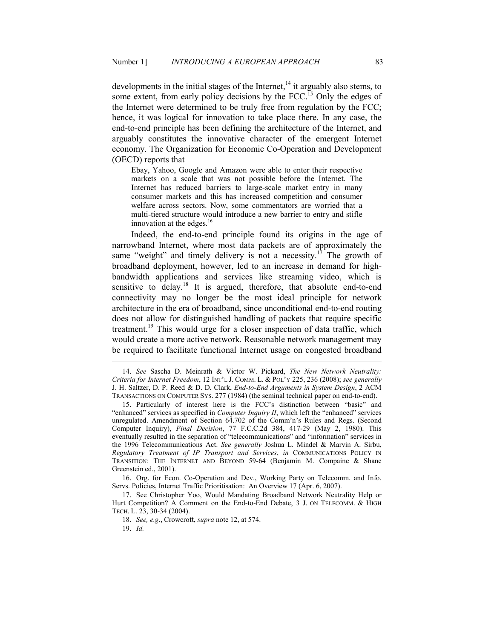developments in the initial stages of the Internet, $<sup>14</sup>$  it arguably also stems, to</sup> some extent, from early policy decisions by the FCC.<sup>15</sup> Only the edges of the Internet were determined to be truly free from regulation by the FCC; hence, it was logical for innovation to take place there. In any case, the end-to-end principle has been defining the architecture of the Internet, and arguably constitutes the innovative character of the emergent Internet economy. The Organization for Economic Co-Operation and Development (OECD) reports that

Ebay, Yahoo, Google and Amazon were able to enter their respective markets on a scale that was not possible before the Internet. The Internet has reduced barriers to large-scale market entry in many consumer markets and this has increased competition and consumer welfare across sectors. Now, some commentators are worried that a multi-tiered structure would introduce a new barrier to entry and stifle innovation at the edges. 16

Indeed, the end-to-end principle found its origins in the age of narrowband Internet, where most data packets are of approximately the same "weight" and timely delivery is not a necessity.<sup>17</sup> The growth of broadband deployment, however, led to an increase in demand for highbandwidth applications and services like streaming video, which is sensitive to delay.<sup>18</sup> It is argued, therefore, that absolute end-to-end connectivity may no longer be the most ideal principle for network architecture in the era of broadband, since unconditional end-to-end routing does not allow for distinguished handling of packets that require specific treatment.<sup>19</sup> This would urge for a closer inspection of data traffic, which would create a more active network. Reasonable network management may be required to facilitate functional Internet usage on congested broadband

 16. Org. for Econ. Co-Operation and Dev., Working Party on Telecomm. and Info. Servs. Policies, Internet Traffic Prioritisation: An Overview 17 (Apr. 6, 2007).

<sup>14.</sup> See Sascha D. Meinrath & Victor W. Pickard, *The New Network Neutrality: Criteria for Internet Freedom*, 12 INT'L J. COMM. L. & POL'Y 225, 236 (2008); *see generally* J. H. Saltzer, D. P. Reed & D. D. Clark, *End-to-End Arguments in System Design*, 2 ACM TRANSACTIONS ON COMPUTER SYS. 277 (1984) (the seminal technical paper on end-to-end).

 <sup>15.</sup> Particularly of interest here is the FCC's distinction between "basic" and "enhanced" services as specified in *Computer Inquiry II*, which left the "enhanced" services unregulated. Amendment of Section 64.702 of the Comm'n's Rules and Regs. (Second Computer Inquiry), *Final Decision*, 77 F.C.C.2d 384, 417-29 (May 2, 1980). This eventually resulted in the separation of "telecommunications" and "information" services in the 1996 Telecommunications Act. *See generally* Joshua L. Mindel & Marvin A. Sirbu, *Regulatory Treatment of IP Transport and Services*, *in* COMMUNICATIONS POLICY IN TRANSITION: THE INTERNET AND BEYOND 59-64 (Benjamin M. Compaine & Shane Greenstein ed., 2001).

 <sup>17.</sup> See Christopher Yoo, Would Mandating Broadband Network Neutrality Help or Hurt Competition? A Comment on the End-to-End Debate, 3 J. ON TELECOMM. & HIGH TECH. L. 23, 30-34 (2004).

 <sup>18.</sup> *See, e.g*., Crowcroft, *supra* note 12, at 574.

 <sup>19.</sup> *Id.*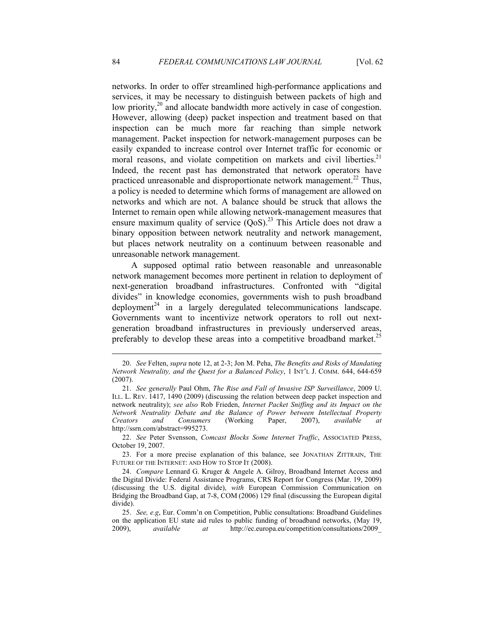networks. In order to offer streamlined high-performance applications and services, it may be necessary to distinguish between packets of high and low priority,<sup>20</sup> and allocate bandwidth more actively in case of congestion. However, allowing (deep) packet inspection and treatment based on that inspection can be much more far reaching than simple network management. Packet inspection for network-management purposes can be easily expanded to increase control over Internet traffic for economic or moral reasons, and violate competition on markets and civil liberties.<sup>21</sup> Indeed, the recent past has demonstrated that network operators have practiced unreasonable and disproportionate network management.<sup>22</sup> Thus, a policy is needed to determine which forms of management are allowed on networks and which are not. A balance should be struck that allows the Internet to remain open while allowing network-management measures that ensure maximum quality of service  $(QoS)$ .<sup>23</sup> This Article does not draw a binary opposition between network neutrality and network management, but places network neutrality on a continuum between reasonable and unreasonable network management.

A supposed optimal ratio between reasonable and unreasonable network management becomes more pertinent in relation to deployment of next-generation broadband infrastructures. Confronted with "digital divides" in knowledge economies, governments wish to push broadband deployment<sup>24</sup> in a largely deregulated telecommunications landscape. Governments want to incentivize network operators to roll out nextgeneration broadband infrastructures in previously underserved areas, preferably to develop these areas into a competitive broadband market.<sup>25</sup>

 <sup>20.</sup> *See* Felten, *supra* note 12, at 2-3; Jon M. Peha, *The Benefits and Risks of Mandating Network Neutrality, and the Quest for a Balanced Policy*, 1 INT'L J. COMM. 644, 644-659 (2007).

 <sup>21.</sup> *See generally* Paul Ohm, *The Rise and Fall of Invasive ISP Surveillance*, 2009 U. ILL. L. REV. 1417, 1490 (2009) (discussing the relation between deep packet inspection and network neutrality); *see also* Rob Frieden, *Internet Packet Sniffing and its Impact on the Network Neutrality Debate and the Balance of Power between Intellectual Property Creators and Consumers (Working Paper, 2007), available at Creators and Consumers* (Working Paper, 2007), *available at* http://ssrn.com/abstract=995273.

 <sup>22.</sup> *See* Peter Svensson, *Comcast Blocks Some Internet Traffic*, ASSOCIATED PRESS, October 19, 2007.

 <sup>23.</sup> For a more precise explanation of this balance, see JONATHAN ZITTRAIN, THE FUTURE OF THE INTERNET: AND HOW TO STOP IT (2008).

 <sup>24.</sup> *Compare* Lennard G. Kruger & Angele A. Gilroy, Broadband Internet Access and the Digital Divide: Federal Assistance Programs, CRS Report for Congress (Mar. 19, 2009) (discussing the U.S. digital divide), *with* European Commission Communication on Bridging the Broadband Gap, at 7-8, COM (2006) 129 final (discussing the European digital divide).

 <sup>25.</sup> *See, e.g*, Eur. Comm'n on Competition, Public consultations: Broadband Guidelines on the application EU state aid rules to public funding of broadband networks, (May 19, 2009), *available at* http://ec.europa.eu/competition/consultations/2009 2009), *available at* http://ec.europa.eu/competition/consultations/2009\_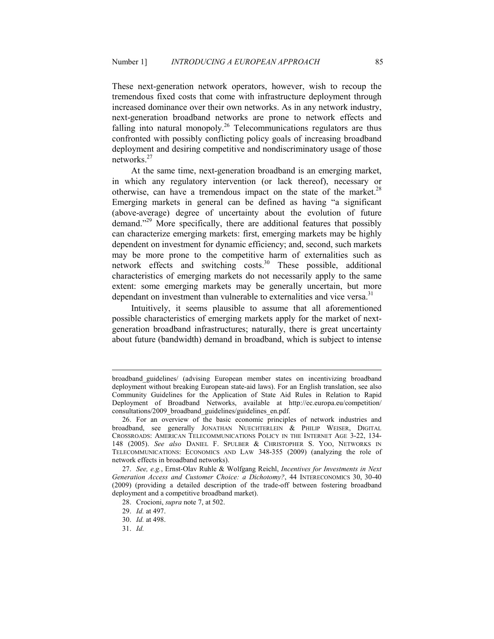These next-generation network operators, however, wish to recoup the tremendous fixed costs that come with infrastructure deployment through increased dominance over their own networks. As in any network industry, next-generation broadband networks are prone to network effects and falling into natural monopoly.<sup>26</sup> Telecommunications regulators are thus confronted with possibly conflicting policy goals of increasing broadband deployment and desiring competitive and nondiscriminatory usage of those networks.<sup>27</sup>

At the same time, next-generation broadband is an emerging market, in which any regulatory intervention (or lack thereof), necessary or otherwise, can have a tremendous impact on the state of the market. $^{28}$ Emerging markets in general can be defined as having "a significant (above-average) degree of uncertainty about the evolution of future demand."<sup>29</sup> More specifically, there are additional features that possibly can characterize emerging markets: first, emerging markets may be highly dependent on investment for dynamic efficiency; and, second, such markets may be more prone to the competitive harm of externalities such as network effects and switching costs.<sup>30</sup> These possible, additional characteristics of emerging markets do not necessarily apply to the same extent: some emerging markets may be generally uncertain, but more dependant on investment than vulnerable to externalities and vice versa.<sup>31</sup>

Intuitively, it seems plausible to assume that all aforementioned possible characteristics of emerging markets apply for the market of nextgeneration broadband infrastructures; naturally, there is great uncertainty about future (bandwidth) demand in broadband, which is subject to intense

broadband\_guidelines/ (advising European member states on incentivizing broadband deployment without breaking European state-aid laws). For an English translation, see also Community Guidelines for the Application of State Aid Rules in Relation to Rapid Deployment of Broadband Networks, available at http://ec.europa.eu/competition/ consultations/2009\_broadband\_guidelines/guidelines\_en.pdf.

 <sup>26.</sup> For an overview of the basic economic principles of network industries and broadband, see generally JONATHAN NUECHTERLEIN & PHILIP WEISER, DIGITAL CROSSROADS: AMERICAN TELECOMMUNICATIONS POLICY IN THE INTERNET AGE 3-22, 134- 148 (2005). *See also* DANIEL F. SPULBER & CHRISTOPHER S. YOO, NETWORKS IN TELECOMMUNICATIONS: ECONOMICS AND LAW 348-355 (2009) (analyzing the role of network effects in broadband networks).

<sup>27.</sup> *See, e.g.*, Ernst-Olav Ruhle & Wolfgang Reichl, *Incentives for Investments in Next Generation Access and Customer Choice: a Dichotomy?*, 44 INTERECONOMICS 30, 30-40 (2009) (providing a detailed description of the trade-off between fostering broadband deployment and a competitive broadband market).

 <sup>28.</sup> Crocioni, *supra* note 7, at 502.

 <sup>29.</sup> *Id.* at 497.

 <sup>30.</sup> *Id.* at 498.

 <sup>31.</sup> *Id.*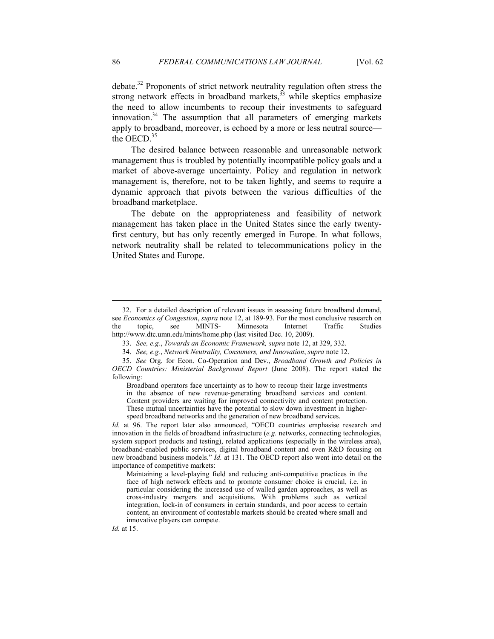debate.<sup>32</sup> Proponents of strict network neutrality regulation often stress the strong network effects in broadband markets, $33$  while skeptics emphasize the need to allow incumbents to recoup their investments to safeguard innovation. $34$  The assumption that all parameters of emerging markets apply to broadband, moreover, is echoed by a more or less neutral source the OECD.<sup>35</sup>

The desired balance between reasonable and unreasonable network management thus is troubled by potentially incompatible policy goals and a market of above-average uncertainty. Policy and regulation in network management is, therefore, not to be taken lightly, and seems to require a dynamic approach that pivots between the various difficulties of the broadband marketplace.

The debate on the appropriateness and feasibility of network management has taken place in the United States since the early twentyfirst century, but has only recently emerged in Europe. In what follows, network neutrality shall be related to telecommunications policy in the United States and Europe.

Broadband operators face uncertainty as to how to recoup their large investments in the absence of new revenue-generating broadband services and content. Content providers are waiting for improved connectivity and content protection. These mutual uncertainties have the potential to slow down investment in higherspeed broadband networks and the generation of new broadband services.

*Id.* at 96. The report later also announced, "OECD countries emphasise research and innovation in the fields of broadband infrastructure (*e.g.* networks, connecting technologies, system support products and testing), related applications (especially in the wireless area), broadband-enabled public services, digital broadband content and even R&D focusing on new broadband business models." *Id.* at 131. The OECD report also went into detail on the importance of competitive markets:

Maintaining a level-playing field and reducing anti-competitive practices in the face of high network effects and to promote consumer choice is crucial, i.e. in particular considering the increased use of walled garden approaches, as well as cross-industry mergers and acquisitions. With problems such as vertical integration, lock-in of consumers in certain standards, and poor access to certain content, an environment of contestable markets should be created where small and innovative players can compete.

-

*Id.* at 15.

 <sup>32.</sup> For a detailed description of relevant issues in assessing future broadband demand, see *Economics of Congestion*, *supra* note 12, at 189-93. For the most conclusive research on the topic, see MINTS- Minnesota Internet Traffic Studies http://www.dtc.umn.edu/mints/home.php (last visited Dec. 10, 2009).

 <sup>33.</sup> *See, e.g.*, *Towards an Economic Framework, supra* note 12, at 329, 332.

<sup>34.</sup> *See, e.g., Network Neutrality, Consumers, and Innovation, supra* note 12.

 <sup>35.</sup> *See* Org. for Econ. Co-Operation and Dev., *Broadband Growth and Policies in OECD Countries: Ministerial Background Report* (June 2008). The report stated the following: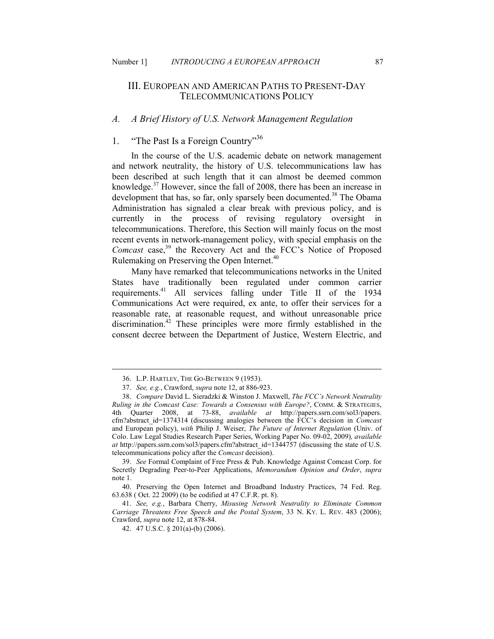# III. EUROPEAN AND AMERICAN PATHS TO PRESENT-DAY TELECOMMUNICATIONS POLICY

# A. A Brief History of U.S. Network Management Regulation

# 1. "The Past Is a Foreign Country"<sup>36</sup>

In the course of the U.S. academic debate on network management and network neutrality, the history of U.S. telecommunications law has been described at such length that it can almost be deemed common knowledge.<sup>37</sup> However, since the fall of 2008, there has been an increase in development that has, so far, only sparsely been documented.<sup>38</sup> The Obama Administration has signaled a clear break with previous policy, and is currently in the process of revising regulatory oversight in telecommunications. Therefore, this Section will mainly focus on the most recent events in network-management policy, with special emphasis on the *Comcast* case,<sup>39</sup> the Recovery Act and the FCC's Notice of Proposed Rulemaking on Preserving the Open Internet.<sup>40</sup>

 Many have remarked that telecommunications networks in the United States have traditionally been regulated under common carrier requirements.<sup>41</sup> All services falling under Title II of the 1934 Communications Act were required, ex ante, to offer their services for a reasonable rate, at reasonable request, and without unreasonable price discrimination.<sup>42</sup> These principles were more firmly established in the consent decree between the Department of Justice, Western Electric, and

 <sup>36.</sup> L.P. HARTLEY, THE GO-BETWEEN 9 (1953).

 <sup>37.</sup> *See, e.g.*, Crawford, *supra* note 12, at 886-923.

<sup>38.</sup> *Compare* David L. Sieradzki & Winston J. Maxwell, *The FCC's Network Neutrality Ruling in the Comcast Case: Towards a Consensus with Europe?*, COMM. & STRATEGIES, 4th Quarter 2008, at 73-88, *available at* http://papers.ssrn.com/sol3/papers. cfm?abstract\_id=1374314 (discussing analogies between the FCC's decision in *Comcast* and European policy), *with* Philip J. Weiser, *The Future of Internet Regulation* (Univ. of Colo. Law Legal Studies Research Paper Series, Working Paper No. 09-02, 2009)*, available at* http://papers.ssrn.com/sol3/papers.cfm?abstract\_id=1344757 (discussing the state of U.S. telecommunications policy after the *Comcast* decision).

 <sup>39.</sup> *See* Formal Complaint of Free Press & Pub. Knowledge Against Comcast Corp. for Secretly Degrading Peer-to-Peer Applications, *Memorandum Opinion and Order*, *supra* note 1.

 <sup>40.</sup> Preserving the Open Internet and Broadband Industry Practices, 74 Fed. Reg. 63.638 ( Oct. 22 2009) (to be codified at 47 C.F.R. pt. 8).

<sup>41.</sup> See, e.g., Barbara Cherry, Misusing Network Neutrality to Eliminate Common *Carriage Threatens Free Speech and the Postal System*, 33 N. KY. L. REV. 483 (2006); Crawford, *supra* note 12, at 878-84.

 <sup>42. 47</sup> U.S.C. § 201(a)-(b) (2006).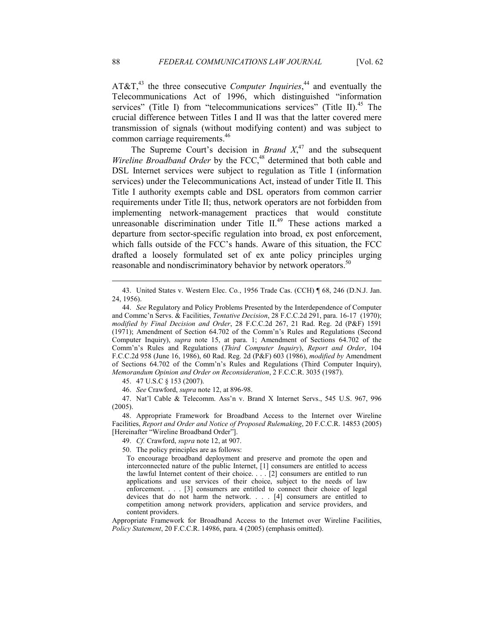AT&T,<sup>43</sup> the three consecutive *Computer Inquiries*,<sup>44</sup> and eventually the Telecommunications Act of 1996, which distinguished "information services" (Title I) from "telecommunications services" (Title II). $45$  The crucial difference between Titles I and II was that the latter covered mere transmission of signals (without modifying content) and was subject to common carriage requirements.<sup>46</sup>

The Supreme Court's decision in *Brand*  $X<sub>1</sub><sup>47</sup>$  and the subsequent *Wireline Broadband Order* by the FCC,<sup>48</sup> determined that both cable and DSL Internet services were subject to regulation as Title I (information services) under the Telecommunications Act, instead of under Title II. This Title I authority exempts cable and DSL operators from common carrier requirements under Title II; thus, network operators are not forbidden from implementing network-management practices that would constitute unreasonable discrimination under Title II.<sup>49</sup> These actions marked a departure from sector-specific regulation into broad, ex post enforcement, which falls outside of the FCC's hands. Aware of this situation, the FCC drafted a loosely formulated set of ex ante policy principles urging reasonable and nondiscriminatory behavior by network operators.<sup>50</sup>

 47. Nat'l Cable & Telecomm. Ass'n v. Brand X Internet Servs., 545 U.S. 967, 996 (2005).

 48. Appropriate Framework for Broadband Access to the Internet over Wireline Facilities, *Report and Order and Notice of Proposed Rulemaking*, 20 F.C.C.R. 14853 (2005) [Hereinafter "Wireline Broadband Order"].

50. The policy principles are as follows:

Appropriate Framework for Broadband Access to the Internet over Wireline Facilities, *Policy Statement*, 20 F.C.C.R. 14986, para. 4 (2005) (emphasis omitted).

 <sup>43.</sup> United States v. Western Elec. Co*.*, 1956 Trade Cas. (CCH) ¶ 68, 246 (D.N.J. Jan. 24, 1956).

 <sup>44.</sup> *See* Regulatory and Policy Problems Presented by the Interdependence of Computer and Commc'n Servs. & Facilities, *Tentative Decision*, 28 F.C.C.2d 291, para. 16-17 (1970); *modified by Final Decision and Order*, 28 F.C.C.2d 267, 21 Rad. Reg. 2d (P&F) 1591 (1971); Amendment of Section 64.702 of the Comm'n's Rules and Regulations (Second Computer Inquiry), *supra* note 15, at para. 1; Amendment of Sections 64.702 of the Comm'n's Rules and Regulations (*Third Computer Inquiry*), *Report and Order*, 104 F.C.C.2d 958 (June 16, 1986), 60 Rad. Reg. 2d (P&F) 603 (1986), *modified by* Amendment of Sections 64.702 of the Comm'n's Rules and Regulations (Third Computer Inquiry), *Memorandum Opinion and Order on Reconsideration*, 2 F.C.C.R. 3035 (1987).

 <sup>45. 47</sup> U.S.C § 153 (2007).

 <sup>46.</sup> *See* Crawford, *supra* note 12, at 896-98.

 <sup>49.</sup> *Cf.* Crawford, *supra* note 12, at 907.

To encourage broadband deployment and preserve and promote the open and interconnected nature of the public Internet, [1] consumers are entitled to access the lawful Internet content of their choice. . . . [2] consumers are entitled to run applications and use services of their choice, subject to the needs of law enforcement. . . . [3] consumers are entitled to connect their choice of legal devices that do not harm the network. . . . [4] consumers are entitled to competition among network providers, application and service providers, and content providers.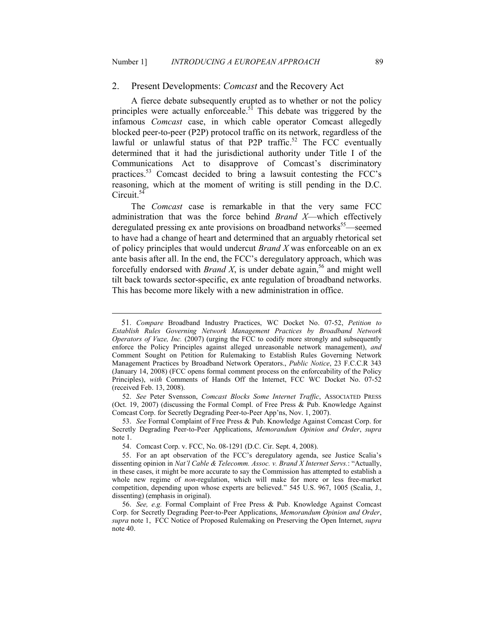#### 2. Present Developments: *Comcast* and the Recovery Act

A fierce debate subsequently erupted as to whether or not the policy principles were actually enforceable.<sup>51</sup> This debate was triggered by the infamous *Comcast* case, in which cable operator Comcast allegedly blocked peer-to-peer (P2P) protocol traffic on its network, regardless of the lawful or unlawful status of that P2P traffic.<sup>52</sup> The FCC eventually determined that it had the jurisdictional authority under Title I of the Communications Act to disapprove of Comcast's discriminatory practices.<sup>53</sup> Comcast decided to bring a lawsuit contesting the FCC's reasoning, which at the moment of writing is still pending in the D.C. Circuit.<sup>54</sup>

The *Comcast* case is remarkable in that the very same FCC administration that was the force behind *Brand X*—which effectively deregulated pressing ex ante provisions on broadband networks<sup>55</sup>—seemed to have had a change of heart and determined that an arguably rhetorical set of policy principles that would undercut *Brand X* was enforceable on an ex ante basis after all. In the end, the FCC's deregulatory approach, which was forcefully endorsed with *Brand X*, is under debate again,<sup>56</sup> and might well tilt back towards sector-specific, ex ante regulation of broadband networks. This has become more likely with a new administration in office.

<sup>51</sup>. *Compare* Broadband Industry Practices, WC Docket No. 07-52, *Petition to*  **Establish Rules Governing Network Management Practices by Broadband Network** *Operators of Vuze, Inc.* (2007) (urging the FCC to codify more strongly and subsequently enforce the Policy Principles against alleged unreasonable network management), *and* Comment Sought on Petition for Rulemaking to Establish Rules Governing Network Management Practices by Broadband Network Operators., *Public Notice*, 23 F.C.C.R 343 (January 14, 2008) (FCC opens formal comment process on the enforceability of the Policy Principles), *with* Comments of Hands Off the Internet, FCC WC Docket No. 07-52 (received Feb. 13, 2008).

 <sup>52.</sup> *See* Peter Svensson, *Comcast Blocks Some Internet Traffic*, ASSOCIATED PRESS (Oct. 19, 2007) (discussing the Formal Compl. of Free Press & Pub. Knowledge Against Comcast Corp. for Secretly Degrading Peer-to-Peer App'ns, Nov. 1, 2007).

 <sup>53.</sup> *See* Formal Complaint of Free Press & Pub. Knowledge Against Comcast Corp. for Secretly Degrading Peer-to-Peer Applications, *Memorandum Opinion and Order*, *supra* note 1.

 <sup>54.</sup> Comcast Corp. v. FCC, No. 08-1291 (D.C. Cir. Sept. 4, 2008).

 <sup>55.</sup> For an apt observation of the FCC's deregulatory agenda, see Justice Scalia's dissenting opinion in *at'l Cable & Telecomm. Assoc. v. Brand X Internet Servs.*: "Actually, in these cases, it might be more accurate to say the Commission has attempted to establish a whole new regime of *non*-regulation, which will make for more or less free-market competition, depending upon whose experts are believed." 545 U.S. 967, 1005 (Scalia, J., dissenting) (emphasis in original).

 <sup>56.</sup> *See, e.g.* Formal Complaint of Free Press & Pub. Knowledge Against Comcast Corp. for Secretly Degrading Peer-to-Peer Applications, *Memorandum Opinion and Order*, *supra* note 1, FCC Notice of Proposed Rulemaking on Preserving the Open Internet, *supra* note 40.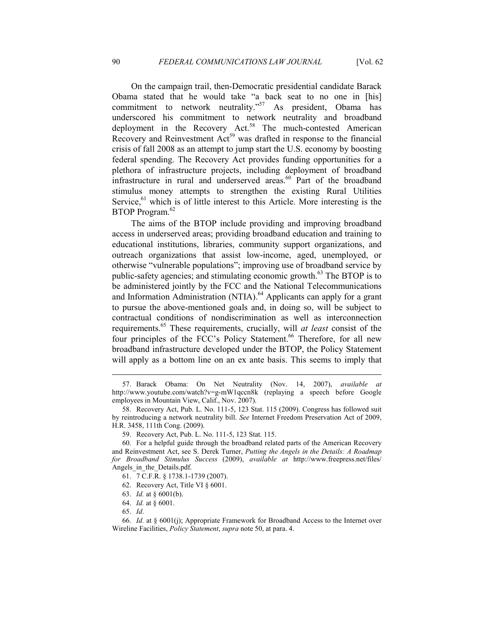On the campaign trail, then-Democratic presidential candidate Barack Obama stated that he would take "a back seat to no one in [his] commitment to network neutrality."<sup>57</sup> As president, Obama has underscored his commitment to network neutrality and broadband deployment in the Recovery Act.<sup>58</sup> The much-contested American Recovery and Reinvestment Act<sup>59</sup> was drafted in response to the financial crisis of fall 2008 as an attempt to jump start the U.S. economy by boosting federal spending. The Recovery Act provides funding opportunities for a plethora of infrastructure projects, including deployment of broadband infrastructure in rural and underserved areas. $60$  Part of the broadband stimulus money attempts to strengthen the existing Rural Utilities Service,  $61$  which is of little interest to this Article. More interesting is the BTOP Program.<sup>62</sup>

The aims of the BTOP include providing and improving broadband access in underserved areas; providing broadband education and training to educational institutions, libraries, community support organizations, and outreach organizations that assist low-income, aged, unemployed, or otherwise "vulnerable populations"; improving use of broadband service by public-safety agencies; and stimulating economic growth. $^{63}$  The BTOP is to be administered jointly by the FCC and the National Telecommunications and Information Administration (NTIA).<sup>64</sup> Applicants can apply for a grant to pursue the above-mentioned goals and, in doing so, will be subject to contractual conditions of nondiscrimination as well as interconnection requirements.<sup>65</sup> These requirements, crucially, will *at least* consist of the four principles of the FCC's Policy Statement.<sup>66</sup> Therefore, for all new broadband infrastructure developed under the BTOP, the Policy Statement will apply as a bottom line on an ex ante basis. This seems to imply that

- 62. Recovery Act, Title VI § 6001.
- 63. *Id.* at § 6001(b).
- 64. *Id.* at § 6001.
- 65. *Id*.

 <sup>57.</sup> Barack Obama: On Net Neutrality (Nov. 14, 2007), *available at* http://www.youtube.com/watch?v=g-mW1qccn8k (replaying a speech before Google employees in Mountain View, Calif., Nov. 2007).

 <sup>58.</sup> Recovery Act, Pub. L. No. 111-5, 123 Stat. 115 (2009). Congress has followed suit by reintroducing a network neutrality bill. *See* Internet Freedom Preservation Act of 2009, H.R. 3458, 111th Cong. (2009).

 <sup>59.</sup> Recovery Act, Pub. L. No. 111-5, 123 Stat. 115.

 <sup>60.</sup> For a helpful guide through the broadband related parts of the American Recovery and Reinvestment Act, see S. Derek Turner, *Putting the Angels in the Details: A Roadmap for Broadband Stimulus Success* (2009), *available at* http://www.freepress.net/files/ Angels in the Details.pdf.

 <sup>61. 7</sup> C.F.R. § 1738.1-1739 (2007).

 <sup>66.</sup> *Id.* at § 6001(j); Appropriate Framework for Broadband Access to the Internet over Wireline Facilities, *Policy Statement*, *supra* note 50, at para. 4.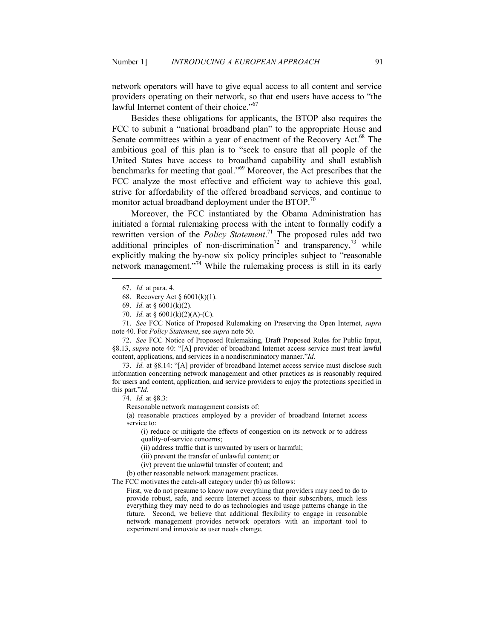network operators will have to give equal access to all content and service providers operating on their network, so that end users have access to "the lawful Internet content of their choice."<sup>67</sup>

Besides these obligations for applicants, the BTOP also requires the FCC to submit a "national broadband plan" to the appropriate House and Senate committees within a year of enactment of the Recovery Act.<sup>68</sup> The ambitious goal of this plan is to "seek to ensure that all people of the United States have access to broadband capability and shall establish benchmarks for meeting that goal."<sup>69</sup> Moreover, the Act prescribes that the FCC analyze the most effective and efficient way to achieve this goal, strive for affordability of the offered broadband services, and continue to monitor actual broadband deployment under the BTOP. $70$ 

Moreover, the FCC instantiated by the Obama Administration has initiated a formal rulemaking process with the intent to formally codify a rewritten version of the *Policy Statement*. <sup>71</sup> The proposed rules add two additional principles of non-discrimination<sup>72</sup> and transparency,<sup>73</sup> while explicitly making the by-now six policy principles subject to "reasonable network management."<sup>74</sup> While the rulemaking process is still in its early

<u>.</u>

 72. *See* FCC Notice of Proposed Rulemaking, Draft Proposed Rules for Public Input, §8.13, *supra* note 40: "[A] provider of broadband Internet access service must treat lawful content, applications, and services in a nondiscriminatory manner."*Id.* 

 73. *Id.* at §8.14: "[A] provider of broadband Internet access service must disclose such information concerning network management and other practices as is reasonably required for users and content, application, and service providers to enjoy the protections specified in this part."*Id.* 

74. *Id.* at §8.3:

Reasonable network management consists of:

(a) reasonable practices employed by a provider of broadband Internet access service to:

(i) reduce or mitigate the effects of congestion on its network or to address quality-of-service concerns;

(ii) address traffic that is unwanted by users or harmful;

- (iii) prevent the transfer of unlawful content; or
- (iv) prevent the unlawful transfer of content; and

(b) other reasonable network management practices.

The FCC motivates the catch-all category under (b) as follows:

First, we do not presume to know now everything that providers may need to do to provide robust, safe, and secure Internet access to their subscribers, much less everything they may need to do as technologies and usage patterns change in the future. Second, we believe that additional flexibility to engage in reasonable network management provides network operators with an important tool to experiment and innovate as user needs change.

 <sup>67.</sup> *Id.* at para. 4.

 <sup>68.</sup> Recovery Act § 6001(k)(1).

 <sup>69.</sup> *Id.* at § 6001(k)(2).

 <sup>70.</sup> *Id.* at § 6001(k)(2)(A)-(C).

 <sup>71.</sup> *See* FCC Notice of Proposed Rulemaking on Preserving the Open Internet, *supra* note 40. For *Policy Statement*, see *supra* note 50.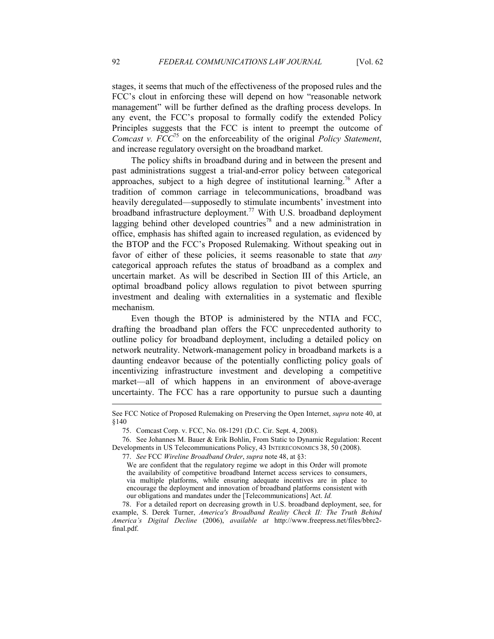stages, it seems that much of the effectiveness of the proposed rules and the FCC's clout in enforcing these will depend on how "reasonable network management" will be further defined as the drafting process develops. In any event, the FCC's proposal to formally codify the extended Policy Principles suggests that the FCC is intent to preempt the outcome of *Comcast v. FCC*<sup>75</sup> on the enforceability of the original *Policy Statement*, and increase regulatory oversight on the broadband market.

The policy shifts in broadband during and in between the present and past administrations suggest a trial-and-error policy between categorical approaches, subject to a high degree of institutional learning.<sup>76</sup> After a tradition of common carriage in telecommunications, broadband was heavily deregulated—supposedly to stimulate incumbents' investment into broadband infrastructure deployment.<sup>77</sup> With U.S. broadband deployment lagging behind other developed countries<sup>78</sup> and a new administration in office, emphasis has shifted again to increased regulation, as evidenced by the BTOP and the FCC's Proposed Rulemaking. Without speaking out in favor of either of these policies, it seems reasonable to state that *any* categorical approach refutes the status of broadband as a complex and uncertain market. As will be described in Section III of this Article, an optimal broadband policy allows regulation to pivot between spurring investment and dealing with externalities in a systematic and flexible mechanism.

Even though the BTOP is administered by the NTIA and FCC, drafting the broadband plan offers the FCC unprecedented authority to outline policy for broadband deployment, including a detailed policy on network neutrality. Network-management policy in broadband markets is a daunting endeavor because of the potentially conflicting policy goals of incentivizing infrastructure investment and developing a competitive market—all of which happens in an environment of above-average uncertainty. The FCC has a rare opportunity to pursue such a daunting

 78. For a detailed report on decreasing growth in U.S. broadband deployment, see, for example, S. Derek Turner, *America's Broadband Reality Check II: The Truth Behind America's Digital Decline* (2006), *available at* http://www.freepress.net/files/bbrc2 final.pdf.

See FCC Notice of Proposed Rulemaking on Preserving the Open Internet, *supra* note 40, at §140

 <sup>75.</sup> Comcast Corp. v. FCC, No. 08-1291 (D.C. Cir. Sept. 4, 2008).

 <sup>76.</sup> See Johannes M. Bauer & Erik Bohlin, From Static to Dynamic Regulation: Recent Developments in US Telecommunications Policy, 43 INTERECONOMICS 38, 50 (2008).

 <sup>77.</sup> *See* FCC *Wireline Broadband Order*, *supra* note 48, at §3:

We are confident that the regulatory regime we adopt in this Order will promote the availability of competitive broadband Internet access services to consumers, via multiple platforms, while ensuring adequate incentives are in place to encourage the deployment and innovation of broadband platforms consistent with our obligations and mandates under the [Telecommunications] Act. *Id.*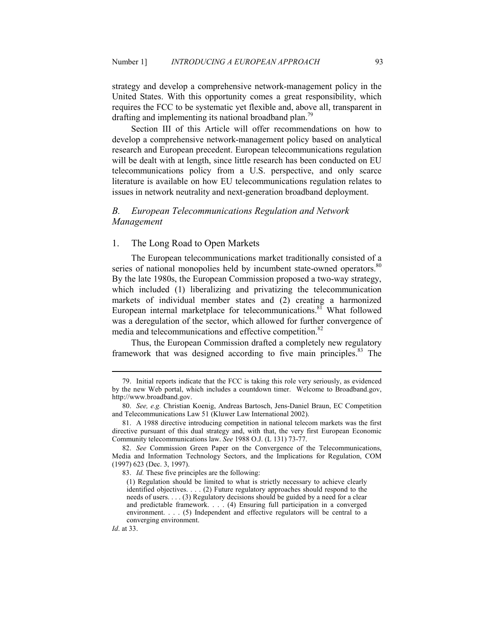strategy and develop a comprehensive network-management policy in the United States. With this opportunity comes a great responsibility, which requires the FCC to be systematic yet flexible and, above all, transparent in drafting and implementing its national broadband plan.<sup>79</sup>

Section III of this Article will offer recommendations on how to develop a comprehensive network-management policy based on analytical research and European precedent. European telecommunications regulation will be dealt with at length, since little research has been conducted on EU telecommunications policy from a U.S. perspective, and only scarce literature is available on how EU telecommunications regulation relates to issues in network neutrality and next-generation broadband deployment.

# *B. European Telecommunications Regulation and Network Management*

#### 1. The Long Road to Open Markets

The European telecommunications market traditionally consisted of a series of national monopolies held by incumbent state-owned operators.<sup>80</sup> By the late 1980s, the European Commission proposed a two-way strategy, which included (1) liberalizing and privatizing the telecommunication markets of individual member states and (2) creating a harmonized European internal marketplace for telecommunications.<sup>81</sup> What followed was a deregulation of the sector, which allowed for further convergence of media and telecommunications and effective competition.<sup>82</sup>

Thus, the European Commission drafted a completely new regulatory framework that was designed according to five main principles.<sup>83</sup> The

 <sup>79.</sup> Initial reports indicate that the FCC is taking this role very seriously, as evidenced by the new Web portal, which includes a countdown timer. Welcome to Broadband.gov, http://www.broadband.gov.

 <sup>80.</sup> *See, e.g.* Christian Koenig, Andreas Bartosch, Jens-Daniel Braun, EC Competition and Telecommunications Law 51 (Kluwer Law International 2002).

 <sup>81.</sup> A 1988 directive introducing competition in national telecom markets was the first directive pursuant of this dual strategy and, with that, the very first European Economic Community telecommunications law. *See* 1988 O.J. (L 131) 73-77.

 <sup>82.</sup> *See* Commission Green Paper on the Convergence of the Telecommunications, Media and Information Technology Sectors, and the Implications for Regulation, COM (1997) 623 (Dec. 3, 1997).

 <sup>83.</sup> *Id.* These five principles are the following:

<sup>(1)</sup> Regulation should be limited to what is strictly necessary to achieve clearly identified objectives. . . . (2) Future regulatory approaches should respond to the needs of users. . . . (3) Regulatory decisions should be guided by a need for a clear and predictable framework. . . . (4) Ensuring full participation in a converged environment. . . . (5) Independent and effective regulators will be central to a converging environment.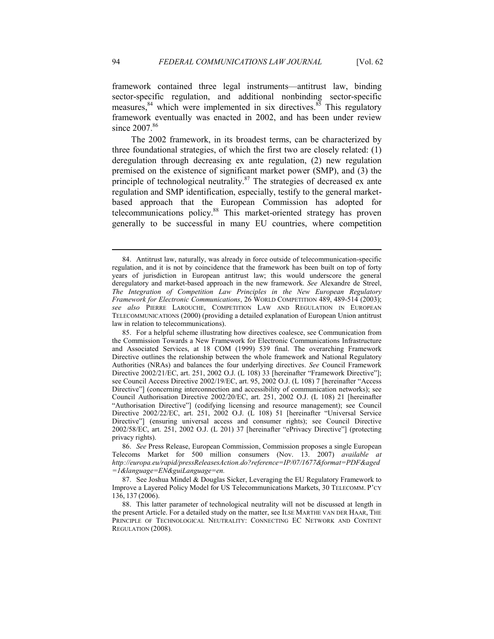framework contained three legal instruments—antitrust law, binding sector-specific regulation, and additional nonbinding sector-specific measures, $84$  which were implemented in six directives. $85$  This regulatory framework eventually was enacted in 2002, and has been under review since 2007.<sup>86</sup>

The 2002 framework, in its broadest terms, can be characterized by three foundational strategies, of which the first two are closely related: (1) deregulation through decreasing ex ante regulation, (2) new regulation premised on the existence of significant market power (SMP), and (3) the principle of technological neutrality. $87$  The strategies of decreased ex ante regulation and SMP identification, especially, testify to the general marketbased approach that the European Commission has adopted for telecommunications policy.<sup>88</sup> This market-oriented strategy has proven generally to be successful in many EU countries, where competition

 <sup>84.</sup> Antitrust law, naturally, was already in force outside of telecommunication-specific regulation, and it is not by coincidence that the framework has been built on top of forty years of jurisdiction in European antitrust law; this would underscore the general deregulatory and market-based approach in the new framework. *See* Alexandre de Streel, *The Integration of Competition Law Principles in the New European Regulatory Framework for Electronic Communications*, 26 WORLD COMPETITION 489, 489-514 (2003); *see also* PIERRE LAROUCHE, COMPETITION LAW AND REGULATION IN EUROPEAN TELECOMMUNICATIONS (2000) (providing a detailed explanation of European Union antitrust law in relation to telecommunications).

 <sup>85.</sup> For a helpful scheme illustrating how directives coalesce, see Communication from the Commission Towards a New Framework for Electronic Communications Infrastructure and Associated Services, at 18 COM (1999) 539 final. The overarching Framework Directive outlines the relationship between the whole framework and National Regulatory Authorities (NRAs) and balances the four underlying directives. *See* Council Framework Directive 2002/21/EC, art. 251, 2002 O.J. (L 108) 33 [hereinafter "Framework Directive"]; see Council Access Directive 2002/19/EC, art. 95, 2002 O.J. (L 108) 7 [hereinafter "Access Directive"] (concerning interconnection and accessibility of communication networks); see Council Authorisation Directive 2002/20/EC, art. 251, 2002 O.J. (L 108) 21 [hereinafter "Authorisation Directive"] (codifying licensing and resource management); see Council Directive 2002/22/EC, art. 251, 2002 O.J. (L 108) 51 [hereinafter "Universal Service Directive"] (ensuring universal access and consumer rights); see Council Directive 2002/58/EC, art. 251, 2002 O.J. (L 201) 37 [hereinafter "ePrivacy Directive"] (protecting privacy rights).

 <sup>86.</sup> *See* Press Release, European Commission, Commission proposes a single European Telecoms Market for 500 million consumers (Nov. 13. 2007) *available at http://europa.eu/rapid/pressReleasesAction.do?reference=IP/07/1677&format=PDF&aged =1&language=E&guiLanguage=en.*

 <sup>87.</sup> See Joshua Mindel & Douglas Sicker, Leveraging the EU Regulatory Framework to Improve a Layered Policy Model for US Telecommunications Markets, 30 TELECOMM. P'CY 136, 137 (2006).

 <sup>88.</sup> This latter parameter of technological neutrality will not be discussed at length in the present Article. For a detailed study on the matter, see ILSE MARTHE VAN DER HAAR, THE PRINCIPLE OF TECHNOLOGICAL NEUTRALITY: CONNECTING EC NETWORK AND CONTENT REGULATION (2008).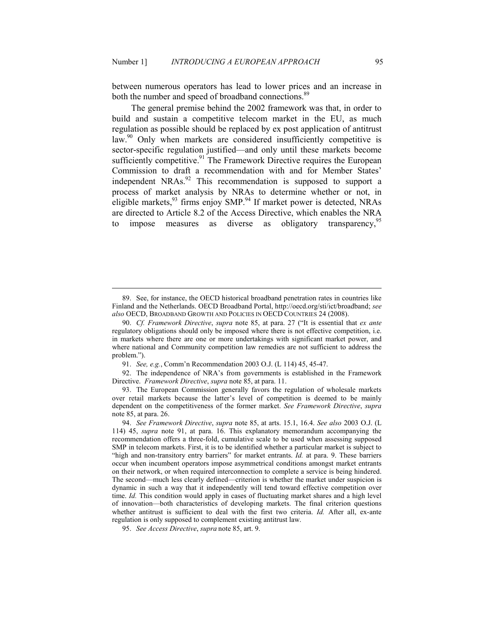between numerous operators has lead to lower prices and an increase in both the number and speed of broadband connections.<sup>89</sup>

The general premise behind the 2002 framework was that, in order to build and sustain a competitive telecom market in the EU, as much regulation as possible should be replaced by ex post application of antitrust law.<sup>90</sup> Only when markets are considered insufficiently competitive is sector-specific regulation justified—and only until these markets become sufficiently competitive.<sup>91</sup> The Framework Directive requires the European Commission to draft a recommendation with and for Member States' independent NRAs.<sup>92</sup> This recommendation is supposed to support a process of market analysis by NRAs to determine whether or not, in eligible markets,  $93$  firms enjoy SMP.<sup>94</sup> If market power is detected, NRAs are directed to Article 8.2 of the Access Directive, which enables the NRA to impose measures as diverse as obligatory transparency,<sup>95</sup>

91. *See, e.g.*, Comm'n Recommendation 2003 O.J. (L 114) 45, 45-47.

 92. The independence of NRA's from governments is established in the Framework Directive. *Framework Directive*, *supra* note 85, at para. 11.

 93. The European Commission generally favors the regulation of wholesale markets over retail markets because the latter's level of competition is deemed to be mainly dependent on the competitiveness of the former market. *See Framework Directive*, *supra* note 85, at para. 26.

 <sup>89.</sup> See, for instance, the OECD historical broadband penetration rates in countries like Finland and the Netherlands. OECD Broadband Portal, http://oecd.org/sti/ict/broadband; *see also* OECD, BROADBAND GROWTH AND POLICIES IN OECD COUNTRIES 24 (2008).

 <sup>90.</sup> *Cf. Framework Directive*, *supra* note 85, at para. 27 ("It is essential that *ex ante* regulatory obligations should only be imposed where there is not effective competition, i.e. in markets where there are one or more undertakings with significant market power, and where national and Community competition law remedies are not sufficient to address the problem.").

 <sup>94.</sup> *See Framework Directive*, *supra* note 85, at arts. 15.1, 16.4. *See also* 2003 O.J. (L 114) 45, *supra* note 91, at para. 16. This explanatory memorandum accompanying the recommendation offers a three-fold, cumulative scale to be used when assessing supposed SMP in telecom markets. First, it is to be identified whether a particular market is subject to "high and non-transitory entry barriers" for market entrants. *Id.* at para. 9. These barriers occur when incumbent operators impose asymmetrical conditions amongst market entrants on their network, or when required interconnection to complete a service is being hindered. The second—much less clearly defined—criterion is whether the market under suspicion is dynamic in such a way that it independently will tend toward effective competition over time. *Id.* This condition would apply in cases of fluctuating market shares and a high level of innovation—both characteristics of developing markets. The final criterion questions whether antitrust is sufficient to deal with the first two criteria. *Id.* After all, ex-ante regulation is only supposed to complement existing antitrust law.

 <sup>95.</sup> *See Access Directive*, *supra* note 85, art. 9.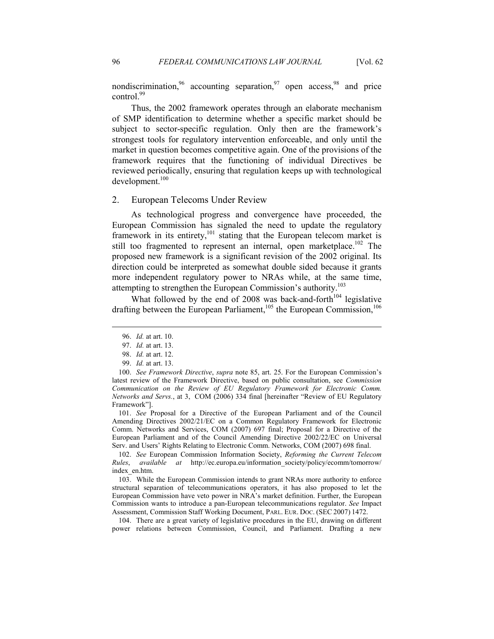nondiscrimination,  $96$  accounting separation,  $97$  open access,  $98$  and price control. $99$ 

Thus, the 2002 framework operates through an elaborate mechanism of SMP identification to determine whether a specific market should be subject to sector-specific regulation. Only then are the framework's strongest tools for regulatory intervention enforceable, and only until the market in question becomes competitive again. One of the provisions of the framework requires that the functioning of individual Directives be reviewed periodically, ensuring that regulation keeps up with technological development.<sup>100</sup>

#### 2. European Telecoms Under Review

As technological progress and convergence have proceeded, the European Commission has signaled the need to update the regulatory framework in its entirety,<sup>101</sup> stating that the European telecom market is still too fragmented to represent an internal, open marketplace.<sup>102</sup> The proposed new framework is a significant revision of the 2002 original. Its direction could be interpreted as somewhat double sided because it grants more independent regulatory power to NRAs while, at the same time, attempting to strengthen the European Commission's authority.<sup>103</sup>

What followed by the end of 2008 was back-and-forth<sup>104</sup> legislative drafting between the European Parliament,<sup>105</sup> the European Commission,<sup>106</sup>

-

 101. *See* Proposal for a Directive of the European Parliament and of the Council Amending Directives 2002/21/EC on a Common Regulatory Framework for Electronic Comm. Networks and Services, COM (2007) 697 final; Proposal for a Directive of the European Parliament and of the Council Amending Directive 2002/22/EC on Universal Serv. and Users' Rights Relating to Electronic Comm. Networks, COM (2007) 698 final.

 102. *See* European Commission Information Society, *Reforming the Current Telecom Rules*, *available at* http://ec.europa.eu/information\_society/policy/ecomm/tomorrow/ index\_en.htm.

 103. While the European Commission intends to grant NRAs more authority to enforce structural separation of telecommunications operators, it has also proposed to let the European Commission have veto power in NRA's market definition. Further, the European Commission wants to introduce a pan-European telecommunications regulator. *See* Impact Assessment, Commission Staff Working Document, PARL. EUR. DOC. (SEC 2007) 1472.

 104. There are a great variety of legislative procedures in the EU, drawing on different power relations between Commission, Council, and Parliament. Drafting a new

 <sup>96.</sup> *Id.* at art. 10.

 <sup>97.</sup> *Id.* at art. 13.

 <sup>98.</sup> *Id.* at art. 12.

 <sup>99.</sup> *Id.* at art. 13.

 <sup>100.</sup> *See Framework Directive*, *supra* note 85, art. 25. For the European Commission's latest review of the Framework Directive, based on public consultation, see *Commission Communication on the Review of EU Regulatory Framework for Electronic Comm. etworks and Servs.*, at 3, COM (2006) 334 final [hereinafter "Review of EU Regulatory Framework"].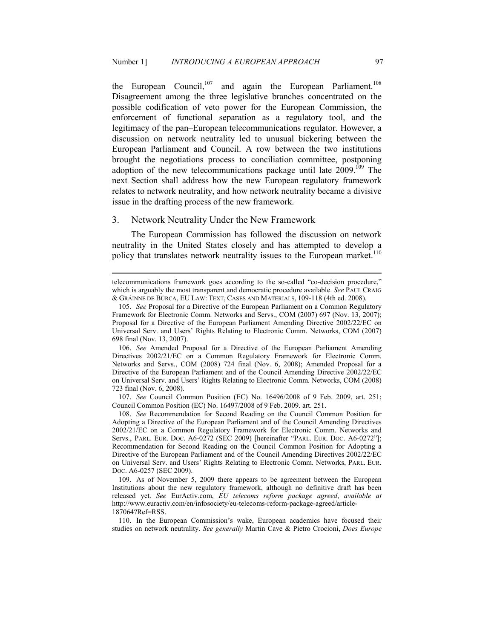the European Council,<sup>107</sup> and again the European Parliament.<sup>108</sup> Disagreement among the three legislative branches concentrated on the possible codification of veto power for the European Commission, the enforcement of functional separation as a regulatory tool, and the legitimacy of the pan–European telecommunications regulator. However, a discussion on network neutrality led to unusual bickering between the European Parliament and Council. A row between the two institutions brought the negotiations process to conciliation committee, postponing adoption of the new telecommunications package until late  $2009$ <sup>109</sup>. The next Section shall address how the new European regulatory framework relates to network neutrality, and how network neutrality became a divisive issue in the drafting process of the new framework.

#### 3. Network Neutrality Under the New Framework

<u>.</u>

The European Commission has followed the discussion on network neutrality in the United States closely and has attempted to develop a policy that translates network neutrality issues to the European market.<sup>110</sup>

 106. *See* Amended Proposal for a Directive of the European Parliament Amending Directives 2002/21/EC on a Common Regulatory Framework for Electronic Comm. Networks and Servs., COM (2008) 724 final (Nov. 6, 2008); Amended Proposal for a Directive of the European Parliament and of the Council Amending Directive 2002/22/EC on Universal Serv. and Users' Rights Relating to Electronic Comm. Networks, COM (2008) 723 final (Nov. 6, 2008).

 107. *See* Council Common Position (EC) No. 16496/2008 of 9 Feb. 2009, art. 251; Council Common Position (EC) No. 16497/2008 of 9 Feb. 2009. art. 251.

 108. *See* Recommendation for Second Reading on the Council Common Position for Adopting a Directive of the European Parliament and of the Council Amending Directives 2002/21/EC on a Common Regulatory Framework for Electronic Comm. Networks and Servs., PARL. EUR. DOC. A6-0272 (SEC 2009) [hereinafter "PARL. EUR. DOC. A6-0272"]; Recommendation for Second Reading on the Council Common Position for Adopting a Directive of the European Parliament and of the Council Amending Directives 2002/22/EC on Universal Serv. and Users' Rights Relating to Electronic Comm. Networks, PARL. EUR. DOC. A6-0257 (SEC 2009).

 109. As of November 5, 2009 there appears to be agreement between the European Institutions about the new regulatory framework, although no definitive draft has been released yet. *See* EurActiv.com, *EU telecoms reform package agreed*, *available at* http://www.euractiv.com/en/infosociety/eu-telecoms-reform-package-agreed/article-187064?Ref=RSS.

 110. In the European Commission's wake, European academics have focused their studies on network neutrality. *See generally* Martin Cave & Pietro Crocioni, *Does Europe* 

telecommunications framework goes according to the so-called "co-decision procedure," which is arguably the most transparent and democratic procedure available. *See* PAUL CRAIG & GRÁINNE DE BÚRCA, EU LAW: TEXT, CASES AND MATERIALS, 109-118 (4th ed. 2008).

 <sup>105.</sup> *See* Proposal for a Directive of the European Parliament on a Common Regulatory Framework for Electronic Comm. Networks and Servs., COM (2007) 697 (Nov. 13, 2007); Proposal for a Directive of the European Parliament Amending Directive 2002/22/EC on Universal Serv. and Users' Rights Relating to Electronic Comm. Networks, COM (2007) 698 final (Nov. 13, 2007).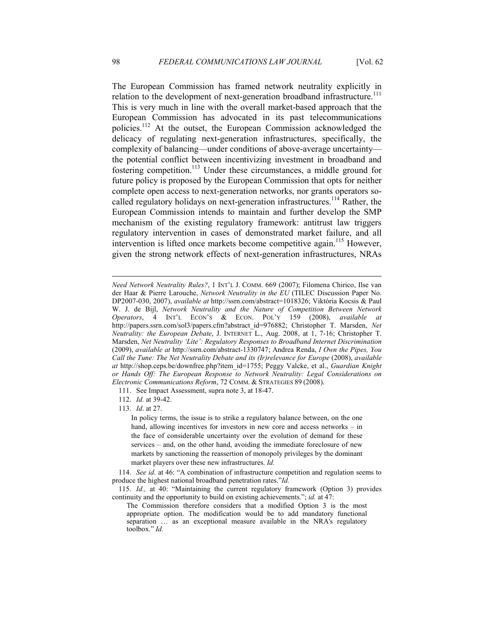The European Commission has framed network neutrality explicitly in relation to the development of next-generation broadband infrastructure.<sup>111</sup> This is very much in line with the overall market-based approach that the European Commission has advocated in its past telecommunications policies.<sup>112</sup> At the outset, the European Commission acknowledged the delicacy of regulating next-generation infrastructures, specifically, the complexity of balancing—under conditions of above-average uncertainty the potential conflict between incentivizing investment in broadband and fostering competition.<sup>113</sup> Under these circumstances, a middle ground for future policy is proposed by the European Commission that opts for neither complete open access to next-generation networks, nor grants operators socalled regulatory holidays on next-generation infrastructures.<sup>114</sup> Rather, the European Commission intends to maintain and further develop the SMP mechanism of the existing regulatory framework: antitrust law triggers regulatory intervention in cases of demonstrated market failure, and all intervention is lifted once markets become competitive again.<sup>115</sup> However, given the strong network effects of next-generation infrastructures, NRAs

111. See Impact Assessment, supra note 3, at 18-47.

112. *Id.* at 39-42.

113. *Id*. at 27.

In policy terms, the issue is to strike a regulatory balance between, on the one hand, allowing incentives for investors in new core and access networks – in the face of considerable uncertainty over the evolution of demand for these services – and, on the other hand, avoiding the immediate foreclosure of new markets by sanctioning the reassertion of monopoly privileges by the dominant market players over these new infrastructures. *Id.* 

 114. *See id.* at 46: "A combination of infrastructure competition and regulation seems to produce the highest national broadband penetration rates."*Id.* 

 115. *Id.,* at 40: "Maintaining the current regulatory framework (Option 3) provides continuity and the opportunity to build on existing achievements."; *id.* at 47:

*Need Network Neutrality Rules?*, 1 INT'L J. COMM. 669 (2007); Filomena Chirico, Ilse van der Haar & Pierre Larouche, *Network Neutrality in the EU* (TILEC Discussion Paper No. DP2007-030, 2007), *available at* http://ssrn.com/abstract=1018326; Viktória Kocsis & Paul W. J. de Bijl, *Network Neutrality and the Nature of Competition Between Network Operators*, 4 INT'L ECON'S & ECON. POL'Y 159 (2008), *available at* http://papers.ssrn.com/sol3/papers.cfm?abstract\_id=976882; Christopher T. Marsden, *Net eutrality: the European Debate*, J. INTERNET L., Aug. 2008, at 1, 7-16; Christopher T. Marsden, Net Neutrality 'Lite': Regulatory Responses to Broadband Internet Discrimination (2009), *available at* http://ssrn.com/abstract-1330747; Andrea Renda, *I Own the Pipes, You Call the Tune: The Net Neutrality Debate and its (Ir)relevance for Europe* (2008), *available at* http://shop.ceps.be/downfree.php?item\_id=1755; Peggy Valcke, et al., *Guardian Knight*  or Hands Off: The European Response to Network Neutrality: Legal Considerations on *Electronic Communications Reform*, 72 COMM. & STRATEGIES 89 (2008).

The Commission therefore considers that a modified Option 3 is the most appropriate option. The modification would be to add mandatory functional separation … as an exceptional measure available in the NRA's regulatory toolbox." *Id.*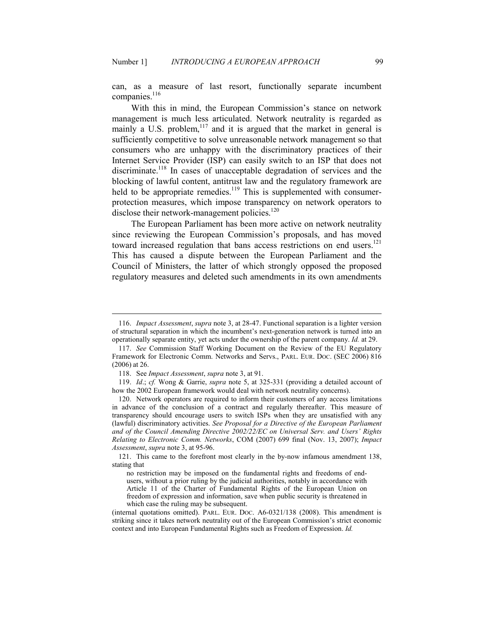can, as a measure of last resort, functionally separate incumbent companies.<sup>116</sup>

With this in mind, the European Commission's stance on network management is much less articulated. Network neutrality is regarded as mainly a U.S. problem, $117$  and it is argued that the market in general is sufficiently competitive to solve unreasonable network management so that consumers who are unhappy with the discriminatory practices of their Internet Service Provider (ISP) can easily switch to an ISP that does not discriminate.<sup>118</sup> In cases of unacceptable degradation of services and the blocking of lawful content, antitrust law and the regulatory framework are held to be appropriate remedies.<sup>119</sup> This is supplemented with consumerprotection measures, which impose transparency on network operators to disclose their network-management policies.<sup>120</sup>

The European Parliament has been more active on network neutrality since reviewing the European Commission's proposals, and has moved toward increased regulation that bans access restrictions on end users.<sup>121</sup> This has caused a dispute between the European Parliament and the Council of Ministers, the latter of which strongly opposed the proposed regulatory measures and deleted such amendments in its own amendments

 <sup>116.</sup> *Impact Assessment*, *supra* note 3, at 28-47. Functional separation is a lighter version of structural separation in which the incumbent's next-generation network is turned into an operationally separate entity, yet acts under the ownership of the parent company. *Id.* at 29.

 <sup>117.</sup> *See* Commission Staff Working Document on the Review of the EU Regulatory Framework for Electronic Comm. Networks and Servs., PARL. EUR. DOC. (SEC 2006) 816 (2006) at 26.

 <sup>118.</sup> See *Impact Assessment*, *supra* note 3, at 91.

 <sup>119.</sup> *Id*.; *cf.* Wong & Garrie, *supra* note 5, at 325-331 (providing a detailed account of how the 2002 European framework would deal with network neutrality concerns).

 <sup>120.</sup> Network operators are required to inform their customers of any access limitations in advance of the conclusion of a contract and regularly thereafter. This measure of transparency should encourage users to switch ISPs when they are unsatisfied with any (lawful) discriminatory activities. *See Proposal for a Directive of the European Parliament and of the Council Amending Directive 2002/22/EC on Universal Serv. and Users' Rights Relating to Electronic Comm. Networks*, COM (2007) 699 final (Nov. 13, 2007); *Impact Assessment*, *supra* note 3, at 95-96.

 <sup>121.</sup> This came to the forefront most clearly in the by-now infamous amendment 138, stating that

no restriction may be imposed on the fundamental rights and freedoms of endusers, without a prior ruling by the judicial authorities, notably in accordance with Article 11 of the Charter of Fundamental Rights of the European Union on freedom of expression and information, save when public security is threatened in which case the ruling may be subsequent.

<sup>(</sup>internal quotations omitted). PARL. EUR. DOC. A6-0321/138 (2008). This amendment is striking since it takes network neutrality out of the European Commission's strict economic context and into European Fundamental Rights such as Freedom of Expression. *Id.*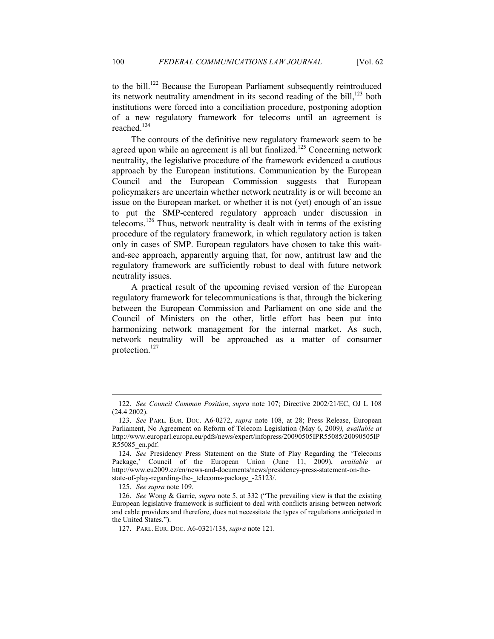to the bill.<sup>122</sup> Because the European Parliament subsequently reintroduced its network neutrality amendment in its second reading of the bill, $123$  both institutions were forced into a conciliation procedure, postponing adoption of a new regulatory framework for telecoms until an agreement is reached.<sup>124</sup>

The contours of the definitive new regulatory framework seem to be agreed upon while an agreement is all but finalized.<sup>125</sup> Concerning network neutrality, the legislative procedure of the framework evidenced a cautious approach by the European institutions. Communication by the European Council and the European Commission suggests that European policymakers are uncertain whether network neutrality is or will become an issue on the European market, or whether it is not (yet) enough of an issue to put the SMP-centered regulatory approach under discussion in telecoms.<sup>126</sup> Thus, network neutrality is dealt with in terms of the existing procedure of the regulatory framework, in which regulatory action is taken only in cases of SMP. European regulators have chosen to take this waitand-see approach, apparently arguing that, for now, antitrust law and the regulatory framework are sufficiently robust to deal with future network neutrality issues.

A practical result of the upcoming revised version of the European regulatory framework for telecommunications is that, through the bickering between the European Commission and Parliament on one side and the Council of Ministers on the other, little effort has been put into harmonizing network management for the internal market. As such, network neutrality will be approached as a matter of consumer protection.<sup>127</sup>

 <sup>122.</sup> *See Council Common Position*, *supra* note 107; Directive 2002/21/EC, OJ L 108 (24.4 2002).

 <sup>123.</sup> *See* PARL. EUR. DOC. A6-0272, *supra* note 108, at 28; Press Release, European Parliament, No Agreement on Reform of Telecom Legislation (May 6, 2009*), available at*  http://www.europarl.europa.eu/pdfs/news/expert/infopress/20090505IPR55085/20090505IP R55085\_en.pdf.

 <sup>124.</sup> *See* Presidency Press Statement on the State of Play Regarding the 'Telecoms Package,' Council of the European Union (June 11, 2009), *available at*  http://www.eu2009.cz/en/news-and-documents/news/presidency-press-statement-on-thestate-of-play-regarding-the-\_telecoms-package\_-25123/.

 <sup>125.</sup> *See supra* note 109.

 <sup>126.</sup> *See* Wong & Garrie, *supra* note 5, at 332 ("The prevailing view is that the existing European legislative framework is sufficient to deal with conflicts arising between network and cable providers and therefore, does not necessitate the types of regulations anticipated in the United States.").

 <sup>127.</sup> PARL. EUR. DOC. A6-0321/138, *supra* note 121.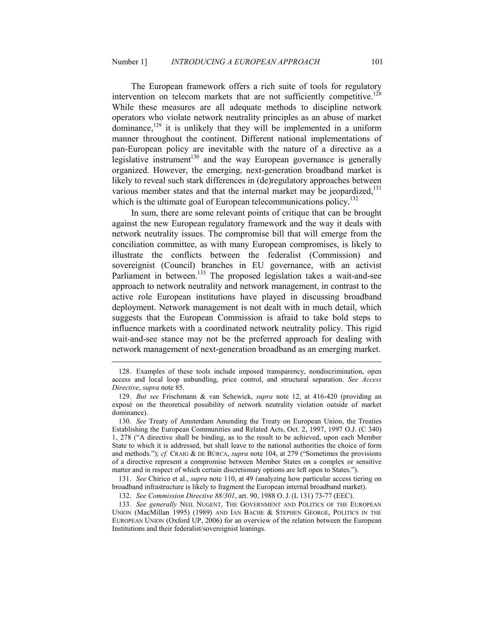The European framework offers a rich suite of tools for regulatory intervention on telecom markets that are not sufficiently competitive.<sup>128</sup> While these measures are all adequate methods to discipline network operators who violate network neutrality principles as an abuse of market dominance, $129$  it is unlikely that they will be implemented in a uniform manner throughout the continent. Different national implementations of pan-European policy are inevitable with the nature of a directive as a legislative instrument<sup>130</sup> and the way European governance is generally organized. However, the emerging, next-generation broadband market is likely to reveal such stark differences in (de)regulatory approaches between various member states and that the internal market may be jeopardized, $131$ which is the ultimate goal of European telecommunications policy. $132$ 

In sum, there are some relevant points of critique that can be brought against the new European regulatory framework and the way it deals with network neutrality issues. The compromise bill that will emerge from the conciliation committee, as with many European compromises, is likely to illustrate the conflicts between the federalist (Commission) and sovereignist (Council) branches in EU governance, with an activist Parliament in between.<sup>133</sup> The proposed legislation takes a wait-and-see approach to network neutrality and network management, in contrast to the active role European institutions have played in discussing broadband deployment. Network management is not dealt with in much detail, which suggests that the European Commission is afraid to take bold steps to influence markets with a coordinated network neutrality policy. This rigid wait-and-see stance may not be the preferred approach for dealing with network management of next-generation broadband as an emerging market.

 <sup>128.</sup> Examples of these tools include imposed transparency, nondiscrimination, open access and local loop unbundling, price control, and structural separation. *See Access Directive*, *supra* note 85.

 <sup>129.</sup> *But see* Frischmann & van Schewick, *supra* note 12, at 416-420 (providing an exposé on the theoretical possibility of network neutrality violation outside of market dominance).

 <sup>130.</sup> *See* Treaty of Amsterdam Amending the Treaty on European Union, the Treaties Establishing the European Communities and Related Acts, Oct. 2, 1997, 1997 O.J. (C 340) 1, 278 ("A directive shall be binding, as to the result to be achieved, upon each Member State to which it is addressed, but shall leave to the national authorities the choice of form and methods."); *cf.* CRAIG & DE BÚRCA, *supra* note 104, at 279 ("Sometimes the provisions of a directive represent a compromise between Member States on a complex or sensitive matter and in respect of which certain discretionary options are left open to States.").

 <sup>131.</sup> *See* Chirico et al., *supra* note 110, at 49 (analyzing how particular access tiering on broadband infrastructure is likely to fragment the European internal broadband market).

 <sup>132.</sup> *See Commission Directive 88/301*, art. 90, 1988 O. J. (L 131) 73-77 (EEC).

 <sup>133.</sup> *See generally* NEIL NUGENT, THE GOVERNMENT AND POLITICS OF THE EUROPEAN UNION (MacMillan 1995) (1989) AND IAN BACHE & STEPHEN GEORGE, POLITICS IN THE EUROPEAN UNION (Oxford UP, 2006) for an overview of the relation between the European Institutions and their federalist/sovereignist leanings.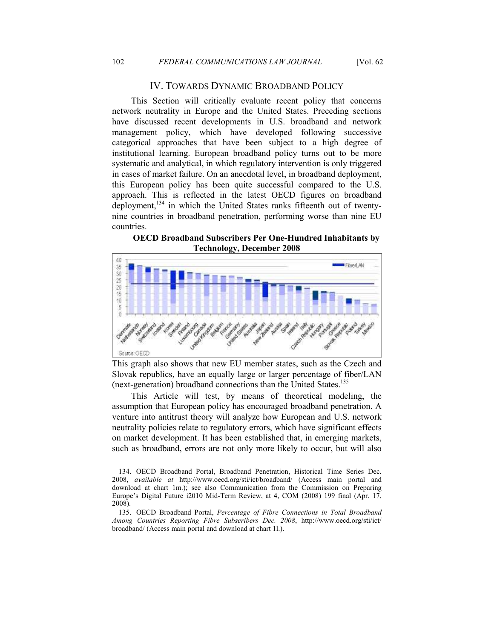## IV. TOWARDS DYNAMIC BROADBAND POLICY

This Section will critically evaluate recent policy that concerns network neutrality in Europe and the United States. Preceding sections have discussed recent developments in U.S. broadband and network management policy, which have developed following successive categorical approaches that have been subject to a high degree of institutional learning. European broadband policy turns out to be more systematic and analytical, in which regulatory intervention is only triggered in cases of market failure. On an anecdotal level, in broadband deployment, this European policy has been quite successful compared to the U.S. approach. This is reflected in the latest OECD figures on broadband deployment, $134$  in which the United States ranks fifteenth out of twentynine countries in broadband penetration, performing worse than nine EU countries.

**OECD Broadband Subscribers Per One-Hundred Inhabitants by Technology, December 2008** 



This graph also shows that new EU member states, such as the Czech and Slovak republics, have an equally large or larger percentage of fiber/LAN (next-generation) broadband connections than the United States.<sup>135</sup>

This Article will test, by means of theoretical modeling, the assumption that European policy has encouraged broadband penetration. A venture into antitrust theory will analyze how European and U.S. network neutrality policies relate to regulatory errors, which have significant effects on market development. It has been established that, in emerging markets, such as broadband, errors are not only more likely to occur, but will also

 <sup>134.</sup> OECD Broadband Portal, Broadband Penetration, Historical Time Series Dec. 2008, *available at* http://www.oecd.org/sti/ict/broadband/ (Access main portal and download at chart 1m.); see also Communication from the Commission on Preparing Europe's Digital Future i2010 Mid-Term Review, at 4, COM (2008) 199 final (Apr. 17, 2008).

 <sup>135.</sup> OECD Broadband Portal, *Percentage of Fibre Connections in Total Broadband Among Countries Reporting Fibre Subscribers Dec. 2008*, http://www.oecd.org/sti/ict/ broadband/ (Access main portal and download at chart 1l.).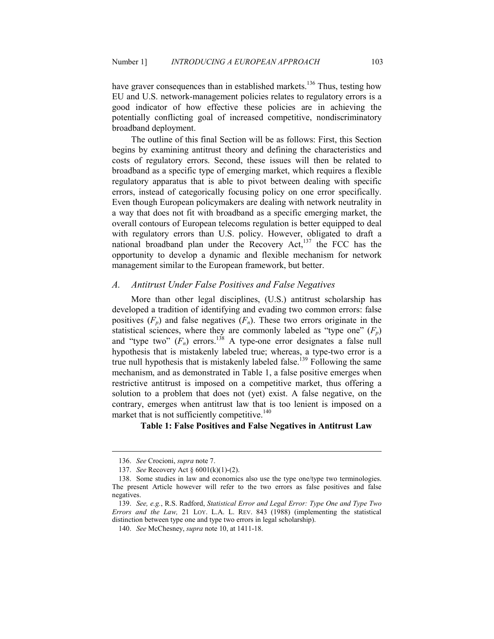have graver consequences than in established markets.<sup>136</sup> Thus, testing how EU and U.S. network-management policies relates to regulatory errors is a good indicator of how effective these policies are in achieving the potentially conflicting goal of increased competitive, nondiscriminatory broadband deployment.

The outline of this final Section will be as follows: First, this Section begins by examining antitrust theory and defining the characteristics and costs of regulatory errors. Second, these issues will then be related to broadband as a specific type of emerging market, which requires a flexible regulatory apparatus that is able to pivot between dealing with specific errors, instead of categorically focusing policy on one error specifically. Even though European policymakers are dealing with network neutrality in a way that does not fit with broadband as a specific emerging market, the overall contours of European telecoms regulation is better equipped to deal with regulatory errors than U.S. policy. However, obligated to draft a national broadband plan under the Recovery Act,<sup>137</sup> the FCC has the opportunity to develop a dynamic and flexible mechanism for network management similar to the European framework, but better.

## A. Antitrust Under False Positives and False Negatives

More than other legal disciplines, (U.S.) antitrust scholarship has developed a tradition of identifying and evading two common errors: false positives  $(F_p)$  and false negatives  $(F_n)$ . These two errors originate in the statistical sciences, where they are commonly labeled as "type one"  $(F_n)$ and "type two"  $(F_n)$  errors.<sup>138</sup> A type-one error designates a false null hypothesis that is mistakenly labeled true; whereas, a type-two error is a true null hypothesis that is mistakenly labeled false.<sup>139</sup> Following the same mechanism, and as demonstrated in Table 1, a false positive emerges when restrictive antitrust is imposed on a competitive market, thus offering a solution to a problem that does not (yet) exist. A false negative, on the contrary, emerges when antitrust law that is too lenient is imposed on a market that is not sufficiently competitive. $140$ 

# Table 1: False Positives and False Negatives in Antitrust Law

 <sup>136.</sup> *See* Crocioni, *supra* note 7.

 <sup>137.</sup> *See* Recovery Act § 6001(k)(1)-(2).

 <sup>138.</sup> Some studies in law and economics also use the type one/type two terminologies. The present Article however will refer to the two errors as false positives and false negatives.

 <sup>139.</sup> *See, e.g.*, R.S. Radford, *Statistical Error and Legal Error: Type One and Type Two Errors and the Law,* 21 LOY. L.A. L. REV. 843 (1988) (implementing the statistical distinction between type one and type two errors in legal scholarship).

 <sup>140.</sup> *See* McChesney, *supra* note 10, at 1411-18.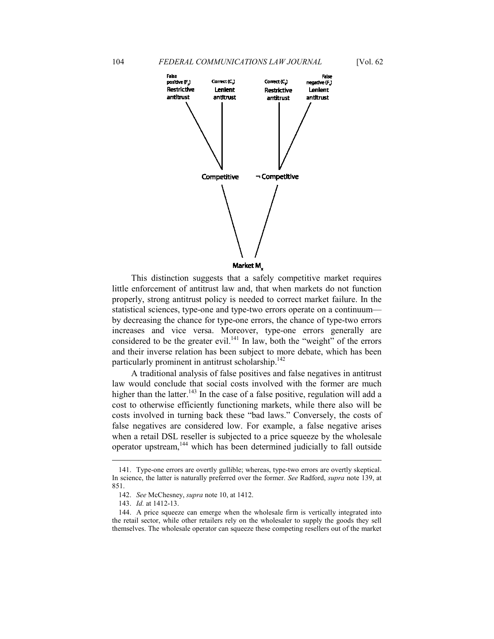

This distinction suggests that a safely competitive market requires little enforcement of antitrust law and, that when markets do not function properly, strong antitrust policy is needed to correct market failure. In the statistical sciences, type-one and type-two errors operate on a continuum by decreasing the chance for type-one errors, the chance of type-two errors increases and vice versa. Moreover, type-one errors generally are considered to be the greater evil.<sup>141</sup> In law, both the "weight" of the errors and their inverse relation has been subject to more debate, which has been particularly prominent in antitrust scholarship.<sup>142</sup>

A traditional analysis of false positives and false negatives in antitrust law would conclude that social costs involved with the former are much higher than the latter.<sup>143</sup> In the case of a false positive, regulation will add a cost to otherwise efficiently functioning markets, while there also will be costs involved in turning back these "bad laws." Conversely, the costs of false negatives are considered low. For example, a false negative arises when a retail DSL reseller is subjected to a price squeeze by the wholesale operator upstream,<sup>144</sup> which has been determined judicially to fall outside

 <sup>141.</sup> Type-one errors are overtly gullible; whereas, type-two errors are overtly skeptical. In science, the latter is naturally preferred over the former. *See* Radford, *supra* note 139, at 851.

 <sup>142.</sup> *See* McChesney, *supra* note 10, at 1412.

 <sup>143.</sup> *Id.* at 1412-13.

 <sup>144.</sup> A price squeeze can emerge when the wholesale firm is vertically integrated into the retail sector, while other retailers rely on the wholesaler to supply the goods they sell themselves. The wholesale operator can squeeze these competing resellers out of the market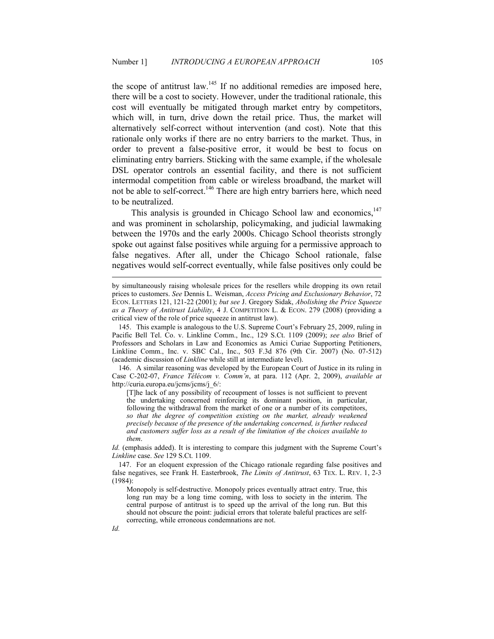the scope of antitrust law.<sup>145</sup> If no additional remedies are imposed here, there will be a cost to society. However, under the traditional rationale, this cost will eventually be mitigated through market entry by competitors, which will, in turn, drive down the retail price. Thus, the market will alternatively self-correct without intervention (and cost). Note that this rationale only works if there are no entry barriers to the market. Thus, in order to prevent a false-positive error, it would be best to focus on eliminating entry barriers. Sticking with the same example, if the wholesale DSL operator controls an essential facility, and there is not sufficient intermodal competition from cable or wireless broadband, the market will not be able to self-correct.<sup>146</sup> There are high entry barriers here, which need to be neutralized.

This analysis is grounded in Chicago School law and economics, $147$ and was prominent in scholarship, policymaking, and judicial lawmaking between the 1970s and the early 2000s. Chicago School theorists strongly spoke out against false positives while arguing for a permissive approach to false negatives. After all, under the Chicago School rationale, false negatives would self-correct eventually, while false positives only could be

 146. A similar reasoning was developed by the European Court of Justice in its ruling in Case C-202-07, *France Télécom v. Comm'n*, at para. 112 (Apr. 2, 2009), *available at*  http://curia.europa.eu/jcms/jcms/j\_6/:

[T]he lack of any possibility of recoupment of losses is not sufficient to prevent the undertaking concerned reinforcing its dominant position, in particular, following the withdrawal from the market of one or a number of its competitors, *so that the degree of competition existing on the market, already weakened precisely because of the presence of the undertaking concerned, is further reduced and customers suffer loss as a result of the limitation of the choices available to them*.

*Id.* (emphasis added). It is interesting to compare this judgment with the Supreme Court's *Linkline* case. *See* 129 S.Ct. 1109.

 147. For an eloquent expression of the Chicago rationale regarding false positives and false negatives, see Frank H. Easterbrook, *The Limits of Antitrust*, 63 TEX. L. REV. 1, 2-3 (1984):

Monopoly is self-destructive. Monopoly prices eventually attract entry. True, this long run may be a long time coming, with loss to society in the interim. The central purpose of antitrust is to speed up the arrival of the long run. But this should not obscure the point: judicial errors that tolerate baleful practices are selfcorrecting, while erroneous condemnations are not.

by simultaneously raising wholesale prices for the resellers while dropping its own retail prices to customers. *See* Dennis L. Weisman, *Access Pricing and Exclusionary Behavior*, 72 ECON. LETTERS 121, 121-22 (2001); *but see* J. Gregory Sidak, *Abolishing the Price Squeeze as a Theory of Antitrust Liability*, 4 J. COMPETITION L. & ECON. 279 (2008) (providing a critical view of the role of price squeeze in antitrust law).

 <sup>145.</sup> This example is analogous to the U.S. Supreme Court's February 25, 2009, ruling in Pacific Bell Tel. Co. v. Linkline Comm., Inc., 129 S.Ct. 1109 (2009); *see also* Brief of Professors and Scholars in Law and Economics as Amici Curiae Supporting Petitioners, Linkline Comm., Inc. v. SBC Cal., Inc., 503 F.3d 876 (9th Cir. 2007) (No. 07-512) (academic discussion of *Linkline* while still at intermediate level).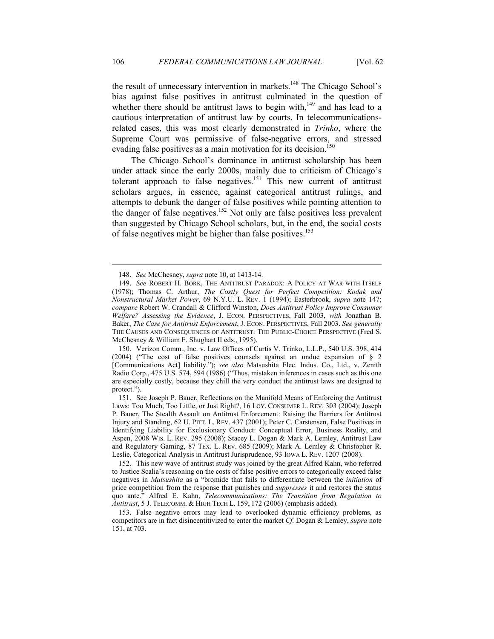the result of unnecessary intervention in markets.<sup>148</sup> The Chicago School's bias against false positives in antitrust culminated in the question of whether there should be antitrust laws to begin with,<sup>149</sup> and has lead to a cautious interpretation of antitrust law by courts. In telecommunicationsrelated cases, this was most clearly demonstrated in *Trinko*, where the Supreme Court was permissive of false-negative errors, and stressed evading false positives as a main motivation for its decision.<sup>150</sup>

The Chicago School's dominance in antitrust scholarship has been under attack since the early 2000s, mainly due to criticism of Chicago's tolerant approach to false negatives.<sup>151</sup> This new current of antitrust scholars argues, in essence, against categorical antitrust rulings, and attempts to debunk the danger of false positives while pointing attention to the danger of false negatives.<sup>152</sup> Not only are false positives less prevalent than suggested by Chicago School scholars, but, in the end, the social costs of false negatives might be higher than false positives.<sup>153</sup>

 150. Verizon Comm., Inc. v. Law Offices of Curtis V. Trinko, L.L.P., 540 U.S. 398, 414 (2004) ("The cost of false positives counsels against an undue expansion of § 2 [Communications Act] liability."); *see also* Matsushita Elec. Indus. Co., Ltd., v. Zenith Radio Corp., 475 U.S. 574, 594 (1986) ("Thus, mistaken inferences in cases such as this one are especially costly, because they chill the very conduct the antitrust laws are designed to protect.").

 152. This new wave of antitrust study was joined by the great Alfred Kahn, who referred to Justice Scalia's reasoning on the costs of false positive errors to categorically exceed false negatives in *Matsushita* as a "bromide that fails to differentiate between the *initiation* of price competition from the response that punishes and *suppresses* it and restores the status quo ante." Alfred E. Kahn, *Telecommunications: The Transition from Regulation to Antitrust*, 5 J. TELECOMM. & HIGH TECH L. 159, 172 (2006) (emphasis added).

 153. False negative errors may lead to overlooked dynamic efficiency problems, as competitors are in fact disincentitivized to enter the market *Cf.* Dogan & Lemley, *supra* note 151, at 703.

 <sup>148.</sup> *See* McChesney, *supra* note 10, at 1413-14.

 <sup>149.</sup> *See* ROBERT H. BORK, THE ANTITRUST PARADOX: A POLICY AT WAR WITH ITSELF (1978); Thomas C. Arthur, *The Costly Quest for Perfect Competition: Kodak and onstructural Market Power*, 69 N.Y.U. L. REV. 1 (1994); Easterbrook, *supra* note 147; *compare* Robert W. Crandall & Clifford Winston, *Does Antitrust Policy Improve Consumer Welfare? Assessing the Evidence*, J. ECON. PERSPECTIVES, Fall 2003, *with* Jonathan B. Baker, *The Case for Antitrust Enforcement*, J. ECON. PERSPECTIVES, Fall 2003. *See generally* THE CAUSES AND CONSEQUENCES OF ANTITRUST: THE PUBLIC-CHOICE PERSPECTIVE (Fred S. McChesney & William F. Shughart II eds., 1995).

 <sup>151.</sup> See Joseph P. Bauer, Reflections on the Manifold Means of Enforcing the Antitrust Laws: Too Much, Too Little, or Just Right?, 16 LOY. CONSUMER L. REV. 303 (2004); Joseph P. Bauer, The Stealth Assault on Antitrust Enforcement: Raising the Barriers for Antitrust Injury and Standing, 62 U. PITT. L. REV. 437 (2001); Peter C. Carstensen, False Positives in Identifying Liability for Exclusionary Conduct: Conceptual Error, Business Reality, and Aspen, 2008 WIS. L. REV. 295 (2008); Stacey L. Dogan & Mark A. Lemley, Antitrust Law and Regulatory Gaming, 87 TEX. L. REV. 685 (2009); Mark A. Lemley & Christopher R. Leslie, Categorical Analysis in Antitrust Jurisprudence, 93 IOWA L. REV. 1207 (2008).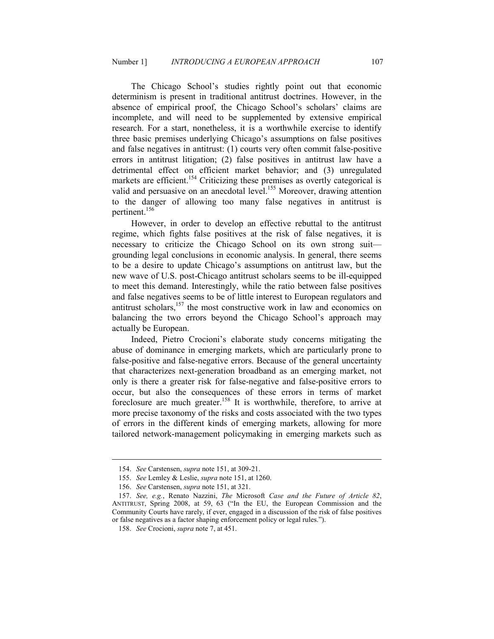The Chicago School's studies rightly point out that economic determinism is present in traditional antitrust doctrines. However, in the absence of empirical proof, the Chicago School's scholars' claims are incomplete, and will need to be supplemented by extensive empirical research. For a start, nonetheless, it is a worthwhile exercise to identify three basic premises underlying Chicago's assumptions on false positives and false negatives in antitrust: (1) courts very often commit false-positive errors in antitrust litigation; (2) false positives in antitrust law have a detrimental effect on efficient market behavior; and (3) unregulated markets are efficient.<sup>154</sup> Criticizing these premises as overtly categorical is valid and persuasive on an anecdotal level.<sup>155</sup> Moreover, drawing attention to the danger of allowing too many false negatives in antitrust is pertinent.<sup>156</sup>

However, in order to develop an effective rebuttal to the antitrust regime, which fights false positives at the risk of false negatives, it is necessary to criticize the Chicago School on its own strong suit grounding legal conclusions in economic analysis. In general, there seems to be a desire to update Chicago's assumptions on antitrust law, but the new wave of U.S. post-Chicago antitrust scholars seems to be ill-equipped to meet this demand. Interestingly, while the ratio between false positives and false negatives seems to be of little interest to European regulators and antitrust scholars, $157$  the most constructive work in law and economics on balancing the two errors beyond the Chicago School's approach may actually be European.

Indeed, Pietro Crocioni's elaborate study concerns mitigating the abuse of dominance in emerging markets, which are particularly prone to false-positive and false-negative errors. Because of the general uncertainty that characterizes next-generation broadband as an emerging market, not only is there a greater risk for false-negative and false-positive errors to occur, but also the consequences of these errors in terms of market foreclosure are much greater.<sup>158</sup> It is worthwhile, therefore, to arrive at more precise taxonomy of the risks and costs associated with the two types of errors in the different kinds of emerging markets, allowing for more tailored network-management policymaking in emerging markets such as

 <sup>154.</sup> *See* Carstensen, *supra* note 151, at 309-21.

 <sup>155.</sup> *See* Lemley & Leslie, *supra* note 151, at 1260.

 <sup>156.</sup> *See* Carstensen, *supra* note 151, at 321.

 <sup>157.</sup> *See, e.g.*, Renato Nazzini, *The* Microsoft *Case and the Future of Article 82*, ANTITRUST, Spring 2008, at 59, 63 ("In the EU, the European Commission and the Community Courts have rarely, if ever, engaged in a discussion of the risk of false positives or false negatives as a factor shaping enforcement policy or legal rules.").

 <sup>158.</sup> *See* Crocioni, *supra* note 7, at 451.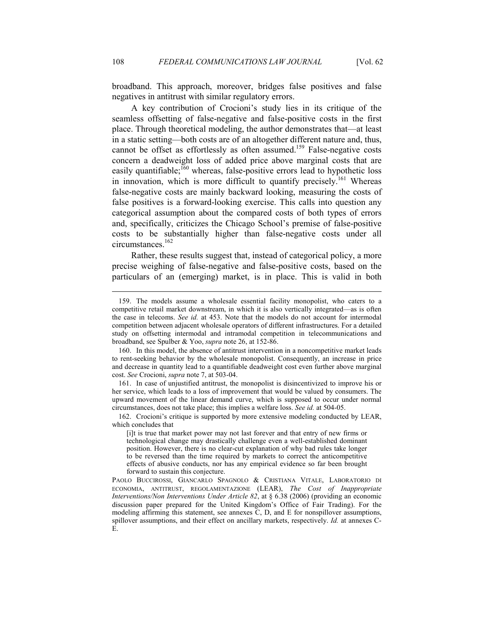broadband. This approach, moreover, bridges false positives and false negatives in antitrust with similar regulatory errors.

A key contribution of Crocioni's study lies in its critique of the seamless offsetting of false-negative and false-positive costs in the first place. Through theoretical modeling, the author demonstrates that—at least in a static setting—both costs are of an altogether different nature and, thus, cannot be offset as effortlessly as often assumed.<sup>159</sup> False-negative costs concern a deadweight loss of added price above marginal costs that are easily quantifiable;<sup>160</sup> whereas, false-positive errors lead to hypothetic loss in innovation, which is more difficult to quantify precisely.<sup>161</sup> Whereas false-negative costs are mainly backward looking, measuring the costs of false positives is a forward-looking exercise. This calls into question any categorical assumption about the compared costs of both types of errors and, specifically, criticizes the Chicago School's premise of false-positive costs to be substantially higher than false-negative costs under all circumstances.<sup>162</sup>

Rather, these results suggest that, instead of categorical policy, a more precise weighing of false-negative and false-positive costs, based on the particulars of an (emerging) market, is in place. This is valid in both

 <sup>159.</sup> The models assume a wholesale essential facility monopolist, who caters to a competitive retail market downstream, in which it is also vertically integrated—as is often the case in telecoms. *See id.* at 453. Note that the models do not account for intermodal competition between adjacent wholesale operators of different infrastructures. For a detailed study on offsetting intermodal and intramodal competition in telecommunications and broadband, see Spulber & Yoo, *supra* note 26, at 152-86.

 <sup>160.</sup> In this model, the absence of antitrust intervention in a noncompetitive market leads to rent-seeking behavior by the wholesale monopolist. Consequently, an increase in price and decrease in quantity lead to a quantifiable deadweight cost even further above marginal cost. *See* Crocioni, *supra* note 7, at 503-04.

 <sup>161.</sup> In case of unjustified antitrust, the monopolist is disincentivized to improve his or her service, which leads to a loss of improvement that would be valued by consumers. The upward movement of the linear demand curve, which is supposed to occur under normal circumstances, does not take place; this implies a welfare loss. *See id.* at 504-05.

 <sup>162.</sup> Crocioni's critique is supported by more extensive modeling conducted by LEAR, which concludes that

<sup>[</sup>i]t is true that market power may not last forever and that entry of new firms or technological change may drastically challenge even a well-established dominant position. However, there is no clear-cut explanation of why bad rules take longer to be reversed than the time required by markets to correct the anticompetitive effects of abusive conducts, nor has any empirical evidence so far been brought forward to sustain this conjecture.

PAOLO BUCCIROSSI, GIANCARLO SPAGNOLO & CRISTIANA VITALE, LABORATORIO DI ECONOMIA, ANTITRUST, REGOLAMENTAZIONE (LEAR), *The Cost of Inappropriate Interventions/Non Interventions Under Article 82*, at § 6.38 (2006) (providing an economic discussion paper prepared for the United Kingdom's Office of Fair Trading). For the modeling affirming this statement, see annexes C, D, and E for nonspillover assumptions, spillover assumptions, and their effect on ancillary markets, respectively. *Id.* at annexes C-E.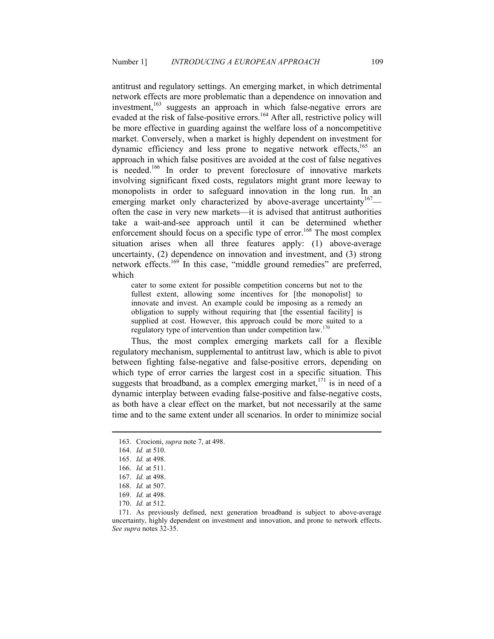antitrust and regulatory settings. An emerging market, in which detrimental network effects are more problematic than a dependence on innovation and investment, $163$  suggests an approach in which false-negative errors are evaded at the risk of false-positive errors.<sup>164</sup> After all, restrictive policy will be more effective in guarding against the welfare loss of a noncompetitive market. Conversely, when a market is highly dependent on investment for dynamic efficiency and less prone to negative network effects.<sup>165</sup> an approach in which false positives are avoided at the cost of false negatives is needed.<sup>166</sup> In order to prevent foreclosure of innovative markets involving significant fixed costs, regulators might grant more leeway to monopolists in order to safeguard innovation in the long run. In an emerging market only characterized by above-average uncertainty<sup>167</sup> often the case in very new markets—it is advised that antitrust authorities take a wait-and-see approach until it can be determined whether enforcement should focus on a specific type of error.<sup>168</sup> The most complex situation arises when all three features apply: (1) above-average uncertainty, (2) dependence on innovation and investment, and (3) strong network effects. $169$  In this case, "middle ground remedies" are preferred, which

cater to some extent for possible competition concerns but not to the fullest extent, allowing some incentives for [the monopolist] to innovate and invest. An example could be imposing as a remedy an obligation to supply without requiring that [the essential facility] is supplied at cost. However, this approach could be more suited to a regulatory type of intervention than under competition law.<sup>170</sup>

Thus, the most complex emerging markets call for a flexible regulatory mechanism, supplemental to antitrust law, which is able to pivot between fighting false-negative and false-positive errors, depending on which type of error carries the largest cost in a specific situation. This suggests that broadband, as a complex emerging market, $171$  is in need of a dynamic interplay between evading false-positive and false-negative costs, as both have a clear effect on the market, but not necessarily at the same time and to the same extent under all scenarios. In order to minimize social

 <sup>163.</sup> Crocioni, *supra* note 7, at 498.

 <sup>164.</sup> *Id.* at 510.

 <sup>165.</sup> *Id.* at 498.

 <sup>166.</sup> *Id.* at 511.

 <sup>167.</sup> *Id.* at 498.

 <sup>168.</sup> *Id.* at 507.

 <sup>169.</sup> *Id.* at 498.

 <sup>170.</sup> *Id.* at 512.

 <sup>171.</sup> As previously defined, next generation broadband is subject to above-average uncertainty, highly dependent on investment and innovation, and prone to network effects. *See supra* notes 32-35.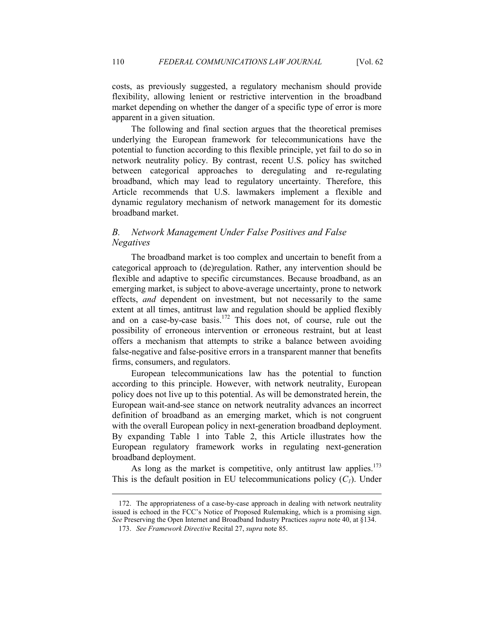costs, as previously suggested, a regulatory mechanism should provide flexibility, allowing lenient or restrictive intervention in the broadband market depending on whether the danger of a specific type of error is more apparent in a given situation.

The following and final section argues that the theoretical premises underlying the European framework for telecommunications have the potential to function according to this flexible principle, yet fail to do so in network neutrality policy. By contrast, recent U.S. policy has switched between categorical approaches to deregulating and re-regulating broadband, which may lead to regulatory uncertainty. Therefore, this Article recommends that U.S. lawmakers implement a flexible and dynamic regulatory mechanism of network management for its domestic broadband market.

# **B.** Network Management Under False Positives and False *Negatives*

The broadband market is too complex and uncertain to benefit from a categorical approach to (de)regulation. Rather, any intervention should be flexible and adaptive to specific circumstances. Because broadband, as an emerging market, is subject to above-average uncertainty, prone to network effects, *and* dependent on investment, but not necessarily to the same extent at all times, antitrust law and regulation should be applied flexibly and on a case-by-case basis.<sup>172</sup> This does not, of course, rule out the possibility of erroneous intervention or erroneous restraint, but at least offers a mechanism that attempts to strike a balance between avoiding false-negative and false-positive errors in a transparent manner that benefits firms, consumers, and regulators.

European telecommunications law has the potential to function according to this principle. However, with network neutrality, European policy does not live up to this potential. As will be demonstrated herein, the European wait-and-see stance on network neutrality advances an incorrect definition of broadband as an emerging market, which is not congruent with the overall European policy in next-generation broadband deployment. By expanding Table 1 into Table 2, this Article illustrates how the European regulatory framework works in regulating next-generation broadband deployment.

As long as the market is competitive, only antitrust law applies.<sup>173</sup> This is the default position in EU telecommunications policy  $(C<sub>1</sub>)$ . Under

 <sup>172.</sup> The appropriateness of a case-by-case approach in dealing with network neutrality issued is echoed in the FCC's Notice of Proposed Rulemaking, which is a promising sign. *See* Preserving the Open Internet and Broadband Industry Practices *supra* note 40, at §134.

 <sup>173.</sup> *See Framework Directive* Recital 27, *supra* note 85.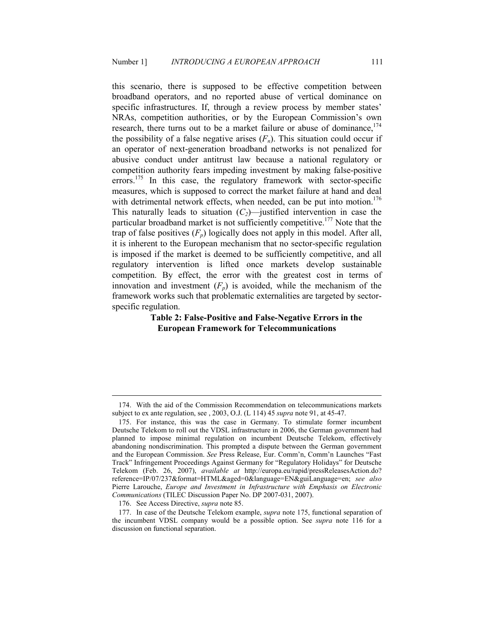this scenario, there is supposed to be effective competition between broadband operators, and no reported abuse of vertical dominance on specific infrastructures. If, through a review process by member states' NRAs, competition authorities, or by the European Commission's own research, there turns out to be a market failure or abuse of dominance,  $174$ the possibility of a false negative arises  $(F_n)$ . This situation could occur if an operator of next-generation broadband networks is not penalized for abusive conduct under antitrust law because a national regulatory or competition authority fears impeding investment by making false-positive errors.<sup>175</sup> In this case, the regulatory framework with sector-specific measures, which is supposed to correct the market failure at hand and deal with detrimental network effects, when needed, can be put into motion.<sup>176</sup> This naturally leads to situation  $(C_2)$ —justified intervention in case the particular broadband market is not sufficiently competitive.<sup>177</sup> Note that the trap of false positives  $(F_n)$  logically does not apply in this model. After all, it is inherent to the European mechanism that no sector-specific regulation is imposed if the market is deemed to be sufficiently competitive, and all regulatory intervention is lifted once markets develop sustainable competition. By effect, the error with the greatest cost in terms of innovation and investment  $(F_p)$  is avoided, while the mechanism of the framework works such that problematic externalities are targeted by sectorspecific regulation.

#### **Table 2: False-Positive and False-Negative Errors in the European Framework for Telecommunications**

 <sup>174.</sup> With the aid of the Commission Recommendation on telecommunications markets subject to ex ante regulation, see , 2003, O.J. (L 114) 45 *supra* note 91, at 45-47.

 <sup>175.</sup> For instance, this was the case in Germany. To stimulate former incumbent Deutsche Telekom to roll out the VDSL infrastructure in 2006, the German government had planned to impose minimal regulation on incumbent Deutsche Telekom, effectively abandoning nondiscrimination. This prompted a dispute between the German government and the European Commission. *See* Press Release, Eur. Comm'n, Comm'n Launches "Fast Track" Infringement Proceedings Against Germany for "Regulatory Holidays" for Deutsche Telekom (Feb. 26, 2007), *available at* http://europa.eu/rapid/pressReleasesAction.do? reference=IP/07/237&format=HTML&aged=0&language=EN&guiLanguage=en; *see also* Pierre Larouche, *Europe and Investment in Infrastructure with Emphasis on Electronic Communications* (TILEC Discussion Paper No. DP 2007-031, 2007).

 <sup>176.</sup> See Access Directive, *supra* note 85.

 <sup>177.</sup> In case of the Deutsche Telekom example, *supra* note 175, functional separation of the incumbent VDSL company would be a possible option. See *supra* note 116 for a discussion on functional separation.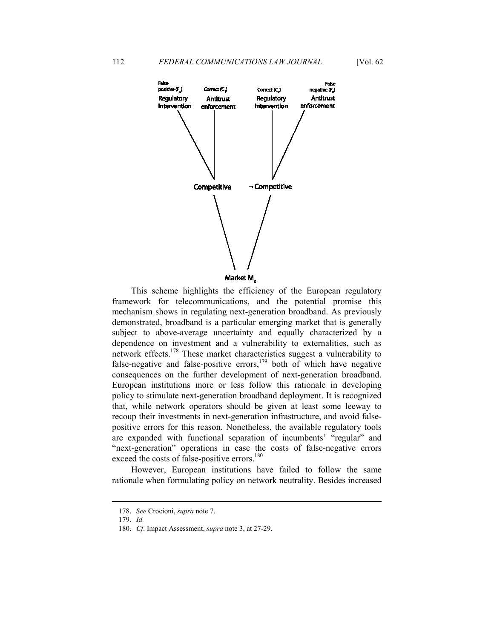

This scheme highlights the efficiency of the European regulatory framework for telecommunications, and the potential promise this mechanism shows in regulating next-generation broadband. As previously demonstrated, broadband is a particular emerging market that is generally subject to above-average uncertainty and equally characterized by a dependence on investment and a vulnerability to externalities, such as network effects.<sup>178</sup> These market characteristics suggest a vulnerability to false-negative and false-positive errors, $179$  both of which have negative consequences on the further development of next-generation broadband. European institutions more or less follow this rationale in developing policy to stimulate next-generation broadband deployment. It is recognized that, while network operators should be given at least some leeway to recoup their investments in next-generation infrastructure, and avoid falsepositive errors for this reason. Nonetheless, the available regulatory tools are expanded with functional separation of incumbents' "regular" and "next-generation" operations in case the costs of false-negative errors exceed the costs of false-positive errors.<sup>180</sup>

However, European institutions have failed to follow the same rationale when formulating policy on network neutrality. Besides increased

 <sup>178.</sup> *See* Crocioni, *supra* note 7.

 <sup>179.</sup> *Id.*

 <sup>180.</sup> *Cf*. Impact Assessment, *supra* note 3, at 27-29.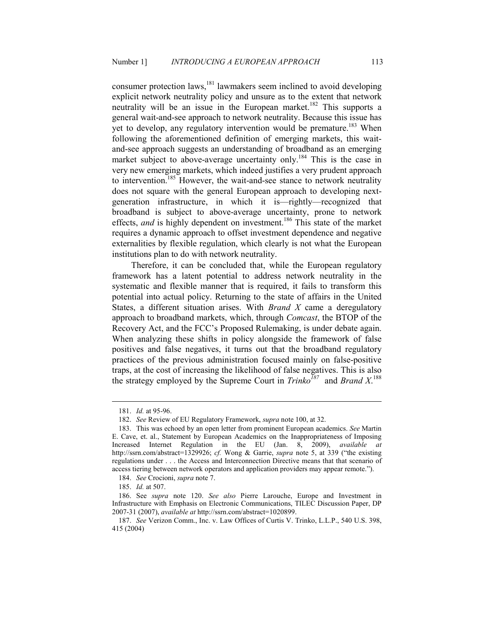consumer protection laws,<sup>181</sup> lawmakers seem inclined to avoid developing explicit network neutrality policy and unsure as to the extent that network neutrality will be an issue in the European market.<sup>182</sup> This supports a general wait-and-see approach to network neutrality. Because this issue has yet to develop, any regulatory intervention would be premature.<sup>183</sup> When following the aforementioned definition of emerging markets, this waitand-see approach suggests an understanding of broadband as an emerging market subject to above-average uncertainty only.<sup>184</sup> This is the case in very new emerging markets, which indeed justifies a very prudent approach to intervention.<sup>185</sup> However, the wait-and-see stance to network neutrality does not square with the general European approach to developing nextgeneration infrastructure, in which it is—rightly—recognized that broadband is subject to above-average uncertainty, prone to network effects, *and* is highly dependent on investment.<sup>186</sup> This state of the market requires a dynamic approach to offset investment dependence and negative externalities by flexible regulation, which clearly is not what the European institutions plan to do with network neutrality.

Therefore, it can be concluded that, while the European regulatory framework has a latent potential to address network neutrality in the systematic and flexible manner that is required, it fails to transform this potential into actual policy. Returning to the state of affairs in the United States, a different situation arises. With *Brand X* came a deregulatory approach to broadband markets, which, through *Comcast*, the BTOP of the Recovery Act, and the FCC's Proposed Rulemaking, is under debate again. When analyzing these shifts in policy alongside the framework of false positives and false negatives, it turns out that the broadband regulatory practices of the previous administration focused mainly on false-positive traps, at the cost of increasing the likelihood of false negatives. This is also the strategy employed by the Supreme Court in *Trinko<sup>187</sup>* and *Brand X*. 188

 <sup>181.</sup> *Id.* at 95-96.

 <sup>182.</sup> *See* Review of EU Regulatory Framework, *supra* note 100, at 32.

 <sup>183.</sup> This was echoed by an open letter from prominent European academics. *See* Martin E. Cave, et. al., Statement by European Academics on the Inappropriateness of Imposing Increased Internet Regulation in the EU (Jan. 8, 2009), *available at*  http://ssrn.com/abstract=1329926; *cf.* Wong & Garrie, *supra* note 5, at 339 ("the existing regulations under . . . the Access and Interconnection Directive means that that scenario of access tiering between network operators and application providers may appear remote.").

 <sup>184.</sup> *See* Crocioni, *supra* note 7.

 <sup>185.</sup> *Id.* at 507.

 <sup>186.</sup> See *supra* note 120. *See also* Pierre Larouche, Europe and Investment in Infrastructure with Emphasis on Electronic Communications, TILEC Discussion Paper, DP 2007-31 (2007), *available at* http://ssrn.com/abstract=1020899.

 <sup>187.</sup> *See* Verizon Comm., Inc. v. Law Offices of Curtis V. Trinko, L.L.P., 540 U.S. 398, 415 (2004)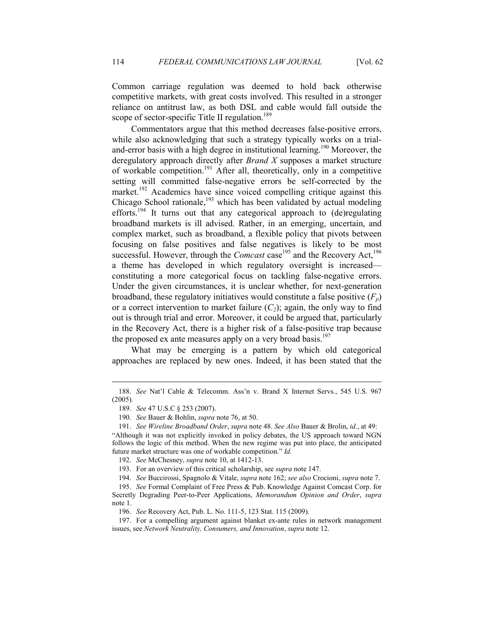Common carriage regulation was deemed to hold back otherwise competitive markets, with great costs involved. This resulted in a stronger reliance on antitrust law, as both DSL and cable would fall outside the scope of sector-specific Title II regulation.<sup>189</sup>

Commentators argue that this method decreases false-positive errors, while also acknowledging that such a strategy typically works on a trialand-error basis with a high degree in institutional learning.<sup>190</sup> Moreover, the deregulatory approach directly after *Brand X* supposes a market structure of workable competition.<sup>191</sup> After all, theoretically, only in a competitive setting will committed false-negative errors be self-corrected by the market.<sup>192</sup> Academics have since voiced compelling critique against this Chicago School rationale, $^{193}$  which has been validated by actual modeling efforts.<sup>194</sup> It turns out that any categorical approach to (de)regulating broadband markets is ill advised. Rather, in an emerging, uncertain, and complex market, such as broadband, a flexible policy that pivots between focusing on false positives and false negatives is likely to be most successful. However, through the *Comcast* case<sup>195</sup> and the Recovery Act,<sup>196</sup> a theme has developed in which regulatory oversight is increased constituting a more categorical focus on tackling false-negative errors. Under the given circumstances, it is unclear whether, for next-generation broadband, these regulatory initiatives would constitute a false positive  $(F_p)$ or a correct intervention to market failure  $(C_2)$ ; again, the only way to find out is through trial and error. Moreover, it could be argued that, particularly in the Recovery Act, there is a higher risk of a false-positive trap because the proposed ex ante measures apply on a very broad basis.<sup>197</sup>

What may be emerging is a pattern by which old categorical approaches are replaced by new ones. Indeed, it has been stated that the

<u>.</u>

193. For an overview of this critical scholarship, see *supra* note 147.

 <sup>188.</sup> *See* Nat'l Cable & Telecomm. Ass'n v. Brand X Internet Servs., 545 U.S. 967 (2005)*.*

 <sup>189.</sup> *See* 47 U.S.C § 253 (2007).

 <sup>190.</sup> *See* Bauer & Bohlin, *supra* note 76, at 50.

 <sup>191.</sup> *See Wireline Broadband Order*, *supra* note 48. *See Also* Bauer & Brolin, *id.*, at 49: "Although it was not explicitly invoked in policy debates, the US approach toward NGN follows the logic of this method. When the new regime was put into place, the anticipated future market structure was one of workable competition." *Id.* 

 <sup>192.</sup> *See* McChesney, *supra* note 10, at 1412-13.

 <sup>194.</sup> *See* Buccirossi, Spagnolo & Vitale, *supra* note 162; *see also* Crocioni, *supra* note 7.

 <sup>195.</sup> *See* Formal Complaint of Free Press & Pub. Knowledge Against Comcast Corp. for Secretly Degrading Peer-to-Peer Applications, *Memorandum Opinion and Order*, *supra* note 1.

 <sup>196.</sup> *See* Recovery Act, Pub. L. No. 111-5, 123 Stat. 115 (2009).

 <sup>197.</sup> For a compelling argument against blanket ex-ante rules in network management issues, see Network Neutrality, Consumers, and Innovation, *supra* note 12.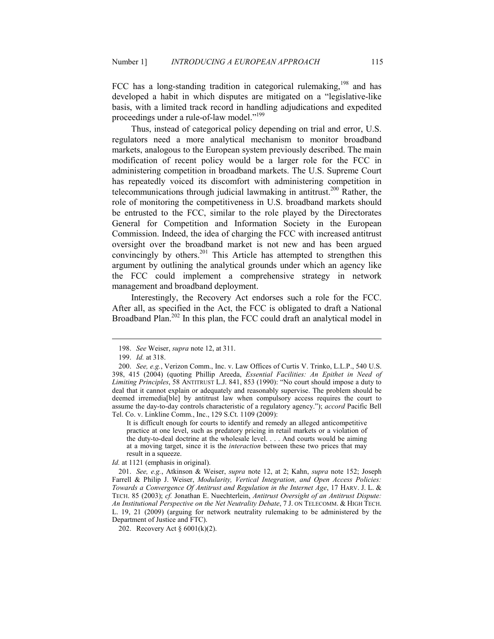FCC has a long-standing tradition in categorical rulemaking,  $198$  and has developed a habit in which disputes are mitigated on a "legislative-like basis, with a limited track record in handling adjudications and expedited proceedings under a rule-of-law model."<sup>199</sup>

Thus, instead of categorical policy depending on trial and error, U.S. regulators need a more analytical mechanism to monitor broadband markets, analogous to the European system previously described. The main modification of recent policy would be a larger role for the FCC in administering competition in broadband markets. The U.S. Supreme Court has repeatedly voiced its discomfort with administering competition in telecommunications through judicial lawmaking in antitrust.<sup>200</sup> Rather, the role of monitoring the competitiveness in U.S. broadband markets should be entrusted to the FCC, similar to the role played by the Directorates General for Competition and Information Society in the European Commission. Indeed, the idea of charging the FCC with increased antitrust oversight over the broadband market is not new and has been argued convincingly by others.<sup>201</sup> This Article has attempted to strengthen this argument by outlining the analytical grounds under which an agency like the FCC could implement a comprehensive strategy in network management and broadband deployment.

Interestingly, the Recovery Act endorses such a role for the FCC. After all, as specified in the Act, the FCC is obligated to draft a National Broadband Plan.<sup>202</sup> In this plan, the FCC could draft an analytical model in

<u>.</u>

It is difficult enough for courts to identify and remedy an alleged anticompetitive practice at one level, such as predatory pricing in retail markets or a violation of the duty-to-deal doctrine at the wholesale level. . . . And courts would be aiming at a moving target, since it is the *interaction* between these two prices that may result in a squeeze.

*Id.* at 1121 (emphasis in original).

 201. *See, e.g.*, Atkinson & Weiser, *supra* note 12, at 2; Kahn, *supra* note 152; Joseph Farrell & Philip J. Weiser, *Modularity, Vertical Integration, and Open Access Policies: Towards a Convergence Of Antitrust and Regulation in the Internet Age*, 17 HARV. J. L. & TECH. 85 (2003); *cf.* Jonathan E. Nuechterlein, *Antitrust Oversight of an Antitrust Dispute:*  An Institutional Perspective on the Net Neutrality Debate, 7 J. ON TELECOMM. & HIGH TECH. L. 19, 21 (2009) (arguing for network neutrality rulemaking to be administered by the Department of Justice and FTC).

202. Recovery Act § 6001(k)(2).

 <sup>198.</sup> *See* Weiser, *supra* note 12, at 311.

 <sup>199.</sup> *Id.* at 318.

 <sup>200.</sup> *See, e.g.*, Verizon Comm., Inc. v. Law Offices of Curtis V. Trinko, L.L.P., 540 U.S. 398, 415 (2004) (quoting Phillip Areeda, *Essential Facilities: An Epithet in Need of Limiting Principles*, 58 ANTITRUST L.J. 841, 853 (1990): "No court should impose a duty to deal that it cannot explain or adequately and reasonably supervise. The problem should be deemed irremedia[ble] by antitrust law when compulsory access requires the court to assume the day-to-day controls characteristic of a regulatory agency."); *accord* Pacific Bell Tel. Co. v. Linkline Comm., Inc., 129 S.Ct. 1109 (2009):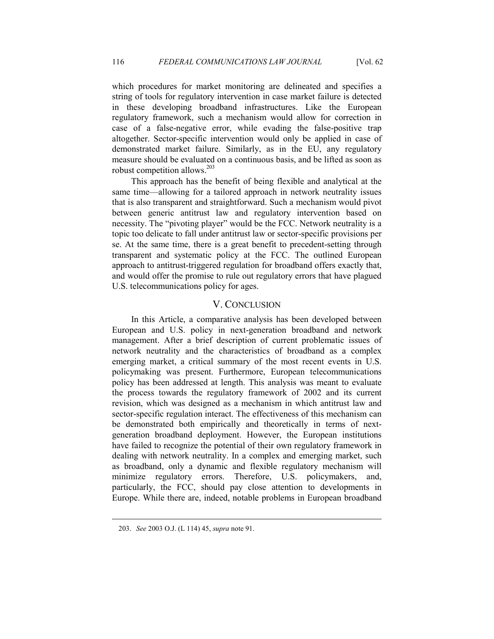which procedures for market monitoring are delineated and specifies a string of tools for regulatory intervention in case market failure is detected in these developing broadband infrastructures. Like the European regulatory framework, such a mechanism would allow for correction in case of a false-negative error, while evading the false-positive trap altogether. Sector-specific intervention would only be applied in case of demonstrated market failure. Similarly, as in the EU, any regulatory measure should be evaluated on a continuous basis, and be lifted as soon as robust competition allows.<sup>203</sup>

This approach has the benefit of being flexible and analytical at the same time—allowing for a tailored approach in network neutrality issues that is also transparent and straightforward. Such a mechanism would pivot between generic antitrust law and regulatory intervention based on necessity. The "pivoting player" would be the FCC. Network neutrality is a topic too delicate to fall under antitrust law or sector-specific provisions per se. At the same time, there is a great benefit to precedent-setting through transparent and systematic policy at the FCC. The outlined European approach to antitrust-triggered regulation for broadband offers exactly that, and would offer the promise to rule out regulatory errors that have plagued U.S. telecommunications policy for ages.

#### V. CONCLUSION

In this Article, a comparative analysis has been developed between European and U.S. policy in next-generation broadband and network management. After a brief description of current problematic issues of network neutrality and the characteristics of broadband as a complex emerging market, a critical summary of the most recent events in U.S. policymaking was present. Furthermore, European telecommunications policy has been addressed at length. This analysis was meant to evaluate the process towards the regulatory framework of 2002 and its current revision, which was designed as a mechanism in which antitrust law and sector-specific regulation interact. The effectiveness of this mechanism can be demonstrated both empirically and theoretically in terms of nextgeneration broadband deployment. However, the European institutions have failed to recognize the potential of their own regulatory framework in dealing with network neutrality. In a complex and emerging market, such as broadband, only a dynamic and flexible regulatory mechanism will minimize regulatory errors. Therefore, U.S. policymakers, and, particularly, the FCC, should pay close attention to developments in Europe. While there are, indeed, notable problems in European broadband

 <sup>203.</sup> *See* 2003 O.J. (L 114) 45, *supra* note 91.